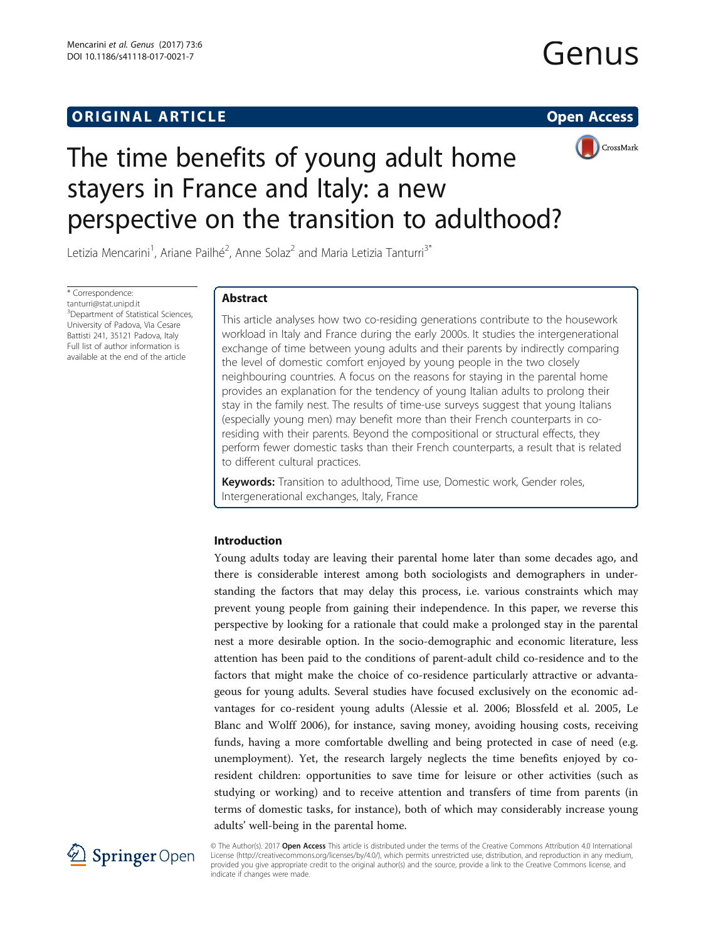# **ORIGINAL ARTICLE CONSUMING A LIGACION** CONSUMING A LIGACION CONSUMING A LIGACION CONSUMING A LIGACION CONSUMING A LIGACION CONSUMING A LIGACION CONSUMING A LIGACION CONSUMING A LIGACION CONSUMING A LIGACION CONSUMING A

# Genus



# The time benefits of young adult home stayers in France and Italy: a new perspective on the transition to adulthood?

Letizia Mencarini<sup>1</sup>, Ariane Pailhé<sup>2</sup>, Anne Solaz<sup>2</sup> and Maria Letizia Tanturri<sup>3\*</sup>

\* Correspondence: [tanturri@stat.unipd.it](mailto:tanturri@stat.unipd.it) <sup>3</sup>Department of Statistical Sciences, University of Padova, Via Cesare Battisti 241, 35121 Padova, Italy Full list of author information is available at the end of the article

# Abstract

This article analyses how two co-residing generations contribute to the housework workload in Italy and France during the early 2000s. It studies the intergenerational exchange of time between young adults and their parents by indirectly comparing the level of domestic comfort enjoyed by young people in the two closely neighbouring countries. A focus on the reasons for staying in the parental home provides an explanation for the tendency of young Italian adults to prolong their stay in the family nest. The results of time-use surveys suggest that young Italians (especially young men) may benefit more than their French counterparts in coresiding with their parents. Beyond the compositional or structural effects, they perform fewer domestic tasks than their French counterparts, a result that is related to different cultural practices.

Keywords: Transition to adulthood, Time use, Domestic work, Gender roles, Intergenerational exchanges, Italy, France

# Introduction

Young adults today are leaving their parental home later than some decades ago, and there is considerable interest among both sociologists and demographers in understanding the factors that may delay this process, i.e. various constraints which may prevent young people from gaining their independence. In this paper, we reverse this perspective by looking for a rationale that could make a prolonged stay in the parental nest a more desirable option. In the socio-demographic and economic literature, less attention has been paid to the conditions of parent-adult child co-residence and to the factors that might make the choice of co-residence particularly attractive or advantageous for young adults. Several studies have focused exclusively on the economic advantages for co-resident young adults (Alessie et al. 2006; Blossfeld et al. [2005,](#page-20-0) Le Blanc and Wolff [2006](#page-21-0)), for instance, saving money, avoiding housing costs, receiving funds, having a more comfortable dwelling and being protected in case of need (e.g. unemployment). Yet, the research largely neglects the time benefits enjoyed by coresident children: opportunities to save time for leisure or other activities (such as studying or working) and to receive attention and transfers of time from parents (in terms of domestic tasks, for instance), both of which may considerably increase young adults' well-being in the parental home.



© The Author(s). 2017 Open Access This article is distributed under the terms of the Creative Commons Attribution 4.0 International License [\(http://creativecommons.org/licenses/by/4.0/](http://creativecommons.org/licenses/by/4.0/)), which permits unrestricted use, distribution, and reproduction in any medium, provided you give appropriate credit to the original author(s) and the source, provide a link to the Creative Commons license, and indicate if changes were made.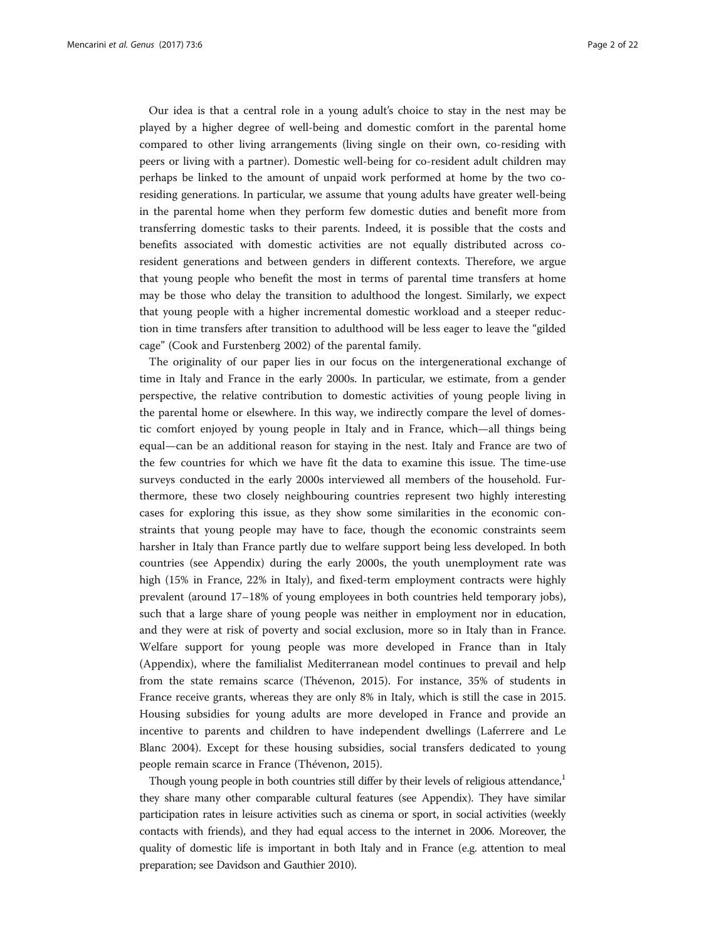Our idea is that a central role in a young adult's choice to stay in the nest may be played by a higher degree of well-being and domestic comfort in the parental home compared to other living arrangements (living single on their own, co-residing with peers or living with a partner). Domestic well-being for co-resident adult children may perhaps be linked to the amount of unpaid work performed at home by the two coresiding generations. In particular, we assume that young adults have greater well-being in the parental home when they perform few domestic duties and benefit more from transferring domestic tasks to their parents. Indeed, it is possible that the costs and benefits associated with domestic activities are not equally distributed across coresident generations and between genders in different contexts. Therefore, we argue that young people who benefit the most in terms of parental time transfers at home may be those who delay the transition to adulthood the longest. Similarly, we expect that young people with a higher incremental domestic workload and a steeper reduction in time transfers after transition to adulthood will be less eager to leave the "gilded cage" (Cook and Furstenberg [2002](#page-20-0)) of the parental family.

The originality of our paper lies in our focus on the intergenerational exchange of time in Italy and France in the early 2000s. In particular, we estimate, from a gender perspective, the relative contribution to domestic activities of young people living in the parental home or elsewhere. In this way, we indirectly compare the level of domestic comfort enjoyed by young people in Italy and in France, which—all things being equal—can be an additional reason for staying in the nest. Italy and France are two of the few countries for which we have fit the data to examine this issue. The time-use surveys conducted in the early 2000s interviewed all members of the household. Furthermore, these two closely neighbouring countries represent two highly interesting cases for exploring this issue, as they show some similarities in the economic constraints that young people may have to face, though the economic constraints seem harsher in Italy than France partly due to welfare support being less developed. In both countries (see [Appendix](#page-19-0)) during the early 2000s, the youth unemployment rate was high (15% in France, 22% in Italy), and fixed-term employment contracts were highly prevalent (around 17–18% of young employees in both countries held temporary jobs), such that a large share of young people was neither in employment nor in education, and they were at risk of poverty and social exclusion, more so in Italy than in France. Welfare support for young people was more developed in France than in Italy ([Appendix\)](#page-19-0), where the familialist Mediterranean model continues to prevail and help from the state remains scarce (Thévenon, [2015](#page-21-0)). For instance, 35% of students in France receive grants, whereas they are only 8% in Italy, which is still the case in 2015. Housing subsidies for young adults are more developed in France and provide an incentive to parents and children to have independent dwellings (Laferrere and Le Blanc [2004\)](#page-21-0). Except for these housing subsidies, social transfers dedicated to young people remain scarce in France (Thévenon, [2015](#page-21-0)).

Though young people in both countries still differ by their levels of religious attendance,<sup>1</sup> they share many other comparable cultural features (see [Appendix\)](#page-19-0). They have similar participation rates in leisure activities such as cinema or sport, in social activities (weekly contacts with friends), and they had equal access to the internet in 2006. Moreover, the quality of domestic life is important in both Italy and in France (e.g. attention to meal preparation; see Davidson and Gauthier [2010\)](#page-20-0).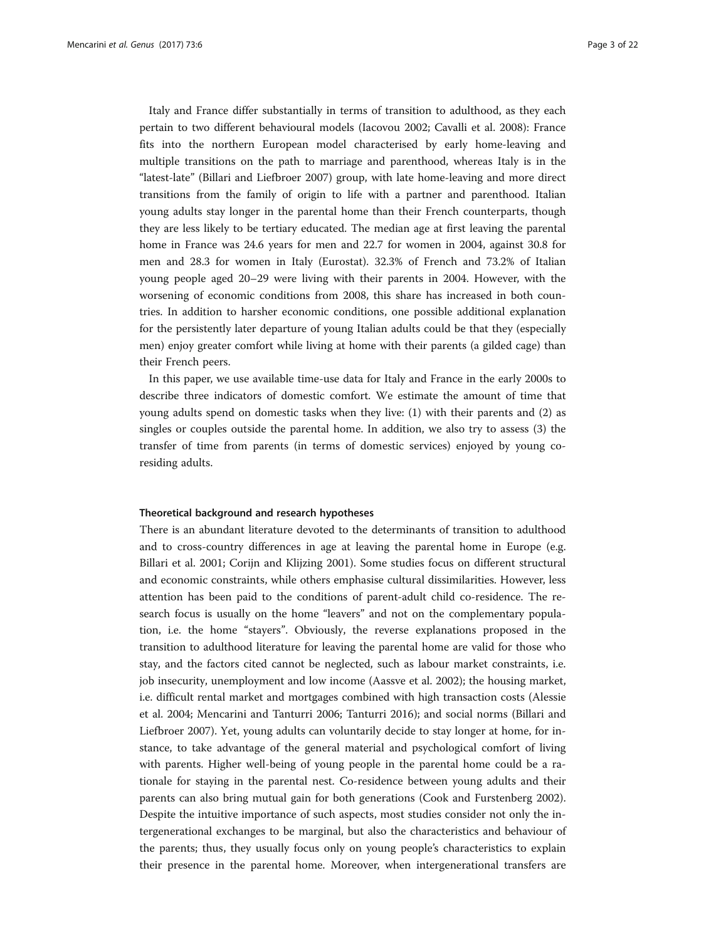Italy and France differ substantially in terms of transition to adulthood, as they each pertain to two different behavioural models (Iacovou [2002;](#page-21-0) Cavalli et al. [2008](#page-20-0)): France fits into the northern European model characterised by early home-leaving and multiple transitions on the path to marriage and parenthood, whereas Italy is in the "latest-late" (Billari and Liefbroer [2007](#page-20-0)) group, with late home-leaving and more direct transitions from the family of origin to life with a partner and parenthood. Italian young adults stay longer in the parental home than their French counterparts, though they are less likely to be tertiary educated. The median age at first leaving the parental home in France was 24.6 years for men and 22.7 for women in 2004, against 30.8 for men and 28.3 for women in Italy (Eurostat). 32.3% of French and 73.2% of Italian young people aged 20–29 were living with their parents in 2004. However, with the worsening of economic conditions from 2008, this share has increased in both countries. In addition to harsher economic conditions, one possible additional explanation for the persistently later departure of young Italian adults could be that they (especially men) enjoy greater comfort while living at home with their parents (a gilded cage) than their French peers.

In this paper, we use available time-use data for Italy and France in the early 2000s to describe three indicators of domestic comfort. We estimate the amount of time that young adults spend on domestic tasks when they live: (1) with their parents and (2) as singles or couples outside the parental home. In addition, we also try to assess (3) the transfer of time from parents (in terms of domestic services) enjoyed by young coresiding adults.

# Theoretical background and research hypotheses

There is an abundant literature devoted to the determinants of transition to adulthood and to cross-country differences in age at leaving the parental home in Europe (e.g. Billari et al. [2001](#page-20-0); Corijn and Klijzing [2001](#page-20-0)). Some studies focus on different structural and economic constraints, while others emphasise cultural dissimilarities. However, less attention has been paid to the conditions of parent-adult child co-residence. The research focus is usually on the home "leavers" and not on the complementary population, i.e. the home "stayers". Obviously, the reverse explanations proposed in the transition to adulthood literature for leaving the parental home are valid for those who stay, and the factors cited cannot be neglected, such as labour market constraints, i.e. job insecurity, unemployment and low income (Aassve et al. [2002](#page-20-0)); the housing market, i.e. difficult rental market and mortgages combined with high transaction costs (Alessie et al. [2004;](#page-20-0) Mencarini and Tanturri [2006;](#page-21-0) Tanturri [2016](#page-21-0)); and social norms (Billari and Liefbroer [2007\)](#page-20-0). Yet, young adults can voluntarily decide to stay longer at home, for instance, to take advantage of the general material and psychological comfort of living with parents. Higher well-being of young people in the parental home could be a rationale for staying in the parental nest. Co-residence between young adults and their parents can also bring mutual gain for both generations (Cook and Furstenberg [2002](#page-20-0)). Despite the intuitive importance of such aspects, most studies consider not only the intergenerational exchanges to be marginal, but also the characteristics and behaviour of the parents; thus, they usually focus only on young people's characteristics to explain their presence in the parental home. Moreover, when intergenerational transfers are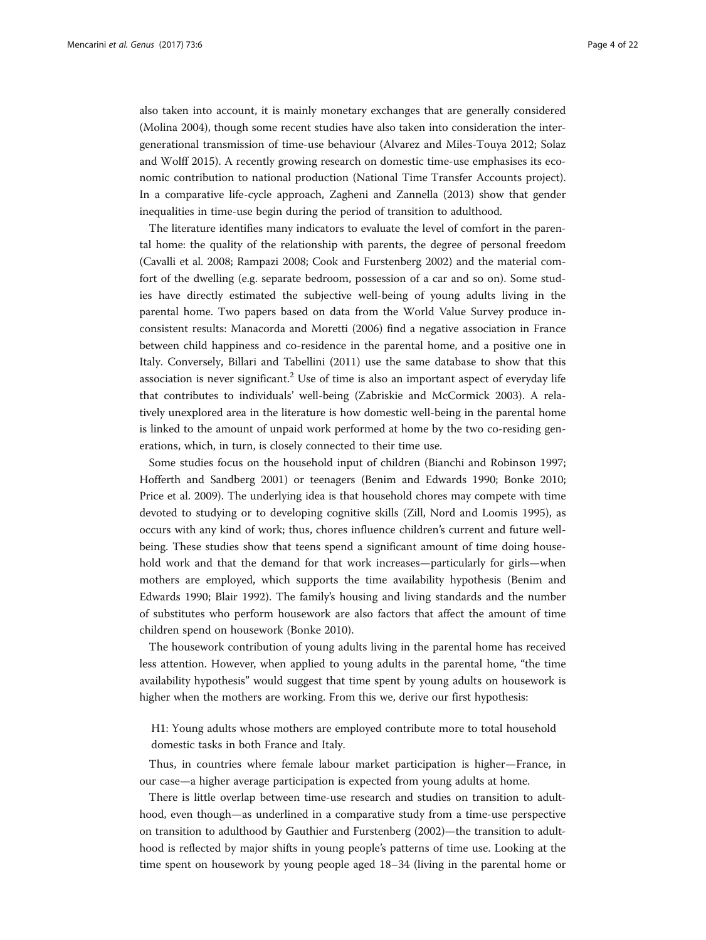also taken into account, it is mainly monetary exchanges that are generally considered (Molina [2004](#page-21-0)), though some recent studies have also taken into consideration the intergenerational transmission of time-use behaviour (Alvarez and Miles-Touya [2012;](#page-20-0) Solaz and Wolff [2015](#page-21-0)). A recently growing research on domestic time-use emphasises its economic contribution to national production (National Time Transfer Accounts project). In a comparative life-cycle approach, Zagheni and Zannella [\(2013\)](#page-21-0) show that gender inequalities in time-use begin during the period of transition to adulthood.

The literature identifies many indicators to evaluate the level of comfort in the parental home: the quality of the relationship with parents, the degree of personal freedom (Cavalli et al. [2008;](#page-20-0) Rampazi [2008](#page-21-0); Cook and Furstenberg [2002\)](#page-20-0) and the material comfort of the dwelling (e.g. separate bedroom, possession of a car and so on). Some studies have directly estimated the subjective well-being of young adults living in the parental home. Two papers based on data from the World Value Survey produce inconsistent results: Manacorda and Moretti [\(2006\)](#page-21-0) find a negative association in France between child happiness and co-residence in the parental home, and a positive one in Italy. Conversely, Billari and Tabellini [\(2011](#page-20-0)) use the same database to show that this association is never significant.<sup>2</sup> Use of time is also an important aspect of everyday life that contributes to individuals' well-being (Zabriskie and McCormick [2003\)](#page-21-0). A relatively unexplored area in the literature is how domestic well-being in the parental home is linked to the amount of unpaid work performed at home by the two co-residing generations, which, in turn, is closely connected to their time use.

Some studies focus on the household input of children (Bianchi and Robinson [1997](#page-20-0); Hofferth and Sandberg [2001\)](#page-21-0) or teenagers (Benim and Edwards [1990](#page-20-0); Bonke [2010](#page-20-0); Price et al. [2009\)](#page-21-0). The underlying idea is that household chores may compete with time devoted to studying or to developing cognitive skills (Zill, Nord and Loomis [1995](#page-21-0)), as occurs with any kind of work; thus, chores influence children's current and future wellbeing. These studies show that teens spend a significant amount of time doing household work and that the demand for that work increases—particularly for girls—when mothers are employed, which supports the time availability hypothesis (Benim and Edwards [1990;](#page-20-0) Blair [1992\)](#page-20-0). The family's housing and living standards and the number of substitutes who perform housework are also factors that affect the amount of time children spend on housework (Bonke [2010](#page-20-0)).

The housework contribution of young adults living in the parental home has received less attention. However, when applied to young adults in the parental home, "the time availability hypothesis" would suggest that time spent by young adults on housework is higher when the mothers are working. From this we, derive our first hypothesis:

H1: Young adults whose mothers are employed contribute more to total household domestic tasks in both France and Italy.

Thus, in countries where female labour market participation is higher—France, in our case—a higher average participation is expected from young adults at home.

There is little overlap between time-use research and studies on transition to adulthood, even though—as underlined in a comparative study from a time-use perspective on transition to adulthood by Gauthier and Furstenberg ([2002](#page-20-0))—the transition to adulthood is reflected by major shifts in young people's patterns of time use. Looking at the time spent on housework by young people aged 18–34 (living in the parental home or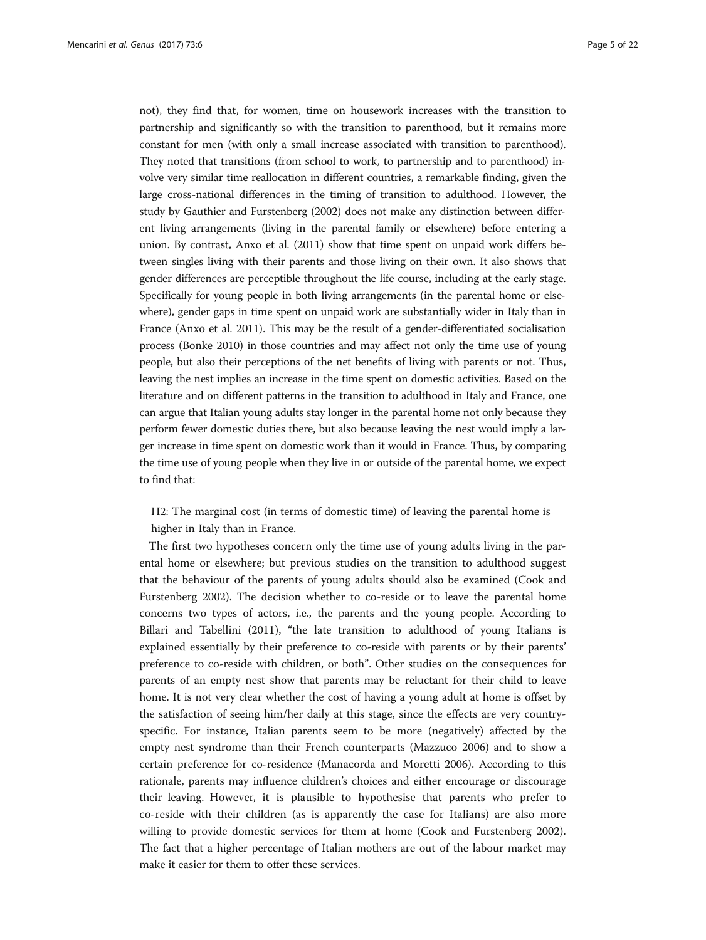not), they find that, for women, time on housework increases with the transition to partnership and significantly so with the transition to parenthood, but it remains more constant for men (with only a small increase associated with transition to parenthood). They noted that transitions (from school to work, to partnership and to parenthood) involve very similar time reallocation in different countries, a remarkable finding, given the large cross-national differences in the timing of transition to adulthood. However, the study by Gauthier and Furstenberg ([2002\)](#page-20-0) does not make any distinction between different living arrangements (living in the parental family or elsewhere) before entering a union. By contrast, Anxo et al. ([2011](#page-20-0)) show that time spent on unpaid work differs between singles living with their parents and those living on their own. It also shows that gender differences are perceptible throughout the life course, including at the early stage. Specifically for young people in both living arrangements (in the parental home or elsewhere), gender gaps in time spent on unpaid work are substantially wider in Italy than in France (Anxo et al. [2011\)](#page-20-0). This may be the result of a gender-differentiated socialisation process (Bonke [2010](#page-20-0)) in those countries and may affect not only the time use of young people, but also their perceptions of the net benefits of living with parents or not. Thus, leaving the nest implies an increase in the time spent on domestic activities. Based on the literature and on different patterns in the transition to adulthood in Italy and France, one can argue that Italian young adults stay longer in the parental home not only because they perform fewer domestic duties there, but also because leaving the nest would imply a larger increase in time spent on domestic work than it would in France. Thus, by comparing the time use of young people when they live in or outside of the parental home, we expect to find that:

H2: The marginal cost (in terms of domestic time) of leaving the parental home is higher in Italy than in France.

The first two hypotheses concern only the time use of young adults living in the parental home or elsewhere; but previous studies on the transition to adulthood suggest that the behaviour of the parents of young adults should also be examined (Cook and Furstenberg [2002](#page-20-0)). The decision whether to co-reside or to leave the parental home concerns two types of actors, i.e., the parents and the young people. According to Billari and Tabellini [\(2011\)](#page-20-0), "the late transition to adulthood of young Italians is explained essentially by their preference to co-reside with parents or by their parents' preference to co-reside with children, or both". Other studies on the consequences for parents of an empty nest show that parents may be reluctant for their child to leave home. It is not very clear whether the cost of having a young adult at home is offset by the satisfaction of seeing him/her daily at this stage, since the effects are very countryspecific. For instance, Italian parents seem to be more (negatively) affected by the empty nest syndrome than their French counterparts (Mazzuco [2006\)](#page-21-0) and to show a certain preference for co-residence (Manacorda and Moretti [2006\)](#page-21-0). According to this rationale, parents may influence children's choices and either encourage or discourage their leaving. However, it is plausible to hypothesise that parents who prefer to co-reside with their children (as is apparently the case for Italians) are also more willing to provide domestic services for them at home (Cook and Furstenberg [2002](#page-20-0)). The fact that a higher percentage of Italian mothers are out of the labour market may make it easier for them to offer these services.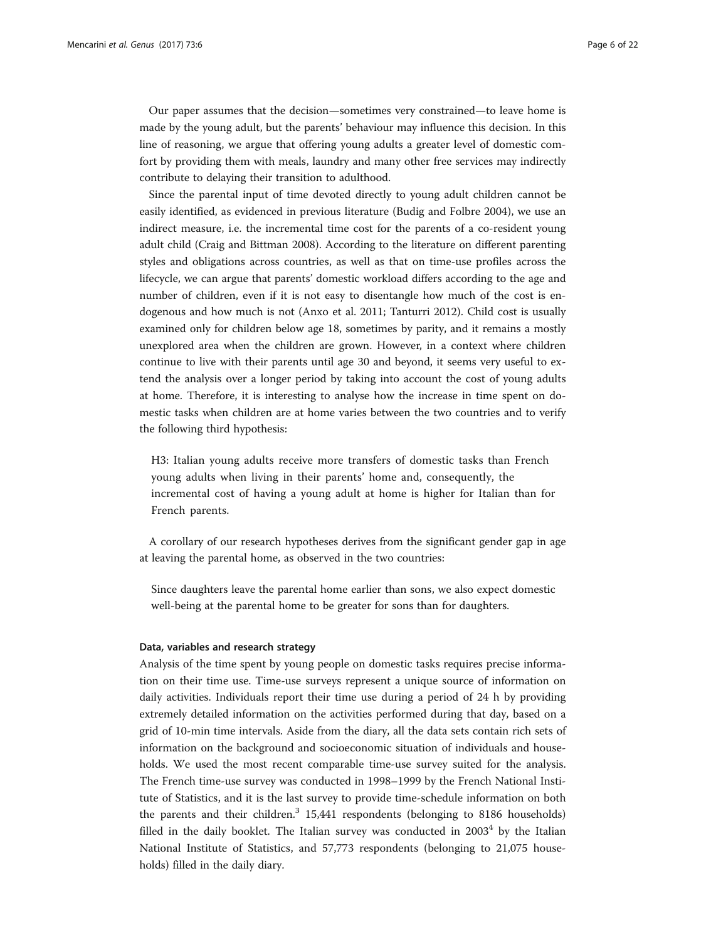Our paper assumes that the decision—sometimes very constrained—to leave home is made by the young adult, but the parents' behaviour may influence this decision. In this line of reasoning, we argue that offering young adults a greater level of domestic comfort by providing them with meals, laundry and many other free services may indirectly contribute to delaying their transition to adulthood.

Since the parental input of time devoted directly to young adult children cannot be easily identified, as evidenced in previous literature (Budig and Folbre [2004](#page-20-0)), we use an indirect measure, i.e. the incremental time cost for the parents of a co-resident young adult child (Craig and Bittman [2008](#page-20-0)). According to the literature on different parenting styles and obligations across countries, as well as that on time-use profiles across the lifecycle, we can argue that parents' domestic workload differs according to the age and number of children, even if it is not easy to disentangle how much of the cost is endogenous and how much is not (Anxo et al. [2011;](#page-20-0) Tanturri [2012\)](#page-21-0). Child cost is usually examined only for children below age 18, sometimes by parity, and it remains a mostly unexplored area when the children are grown. However, in a context where children continue to live with their parents until age 30 and beyond, it seems very useful to extend the analysis over a longer period by taking into account the cost of young adults at home. Therefore, it is interesting to analyse how the increase in time spent on domestic tasks when children are at home varies between the two countries and to verify the following third hypothesis:

H3: Italian young adults receive more transfers of domestic tasks than French young adults when living in their parents' home and, consequently, the incremental cost of having a young adult at home is higher for Italian than for French parents.

A corollary of our research hypotheses derives from the significant gender gap in age at leaving the parental home, as observed in the two countries:

Since daughters leave the parental home earlier than sons, we also expect domestic well-being at the parental home to be greater for sons than for daughters.

#### Data, variables and research strategy

Analysis of the time spent by young people on domestic tasks requires precise information on their time use. Time-use surveys represent a unique source of information on daily activities. Individuals report their time use during a period of 24 h by providing extremely detailed information on the activities performed during that day, based on a grid of 10-min time intervals. Aside from the diary, all the data sets contain rich sets of information on the background and socioeconomic situation of individuals and households. We used the most recent comparable time-use survey suited for the analysis. The French time-use survey was conducted in 1998–1999 by the French National Institute of Statistics, and it is the last survey to provide time-schedule information on both the parents and their children. $3\,15,441$  respondents (belonging to 8186 households) filled in the daily booklet. The Italian survey was conducted in  $2003<sup>4</sup>$  by the Italian National Institute of Statistics, and 57,773 respondents (belonging to 21,075 households) filled in the daily diary.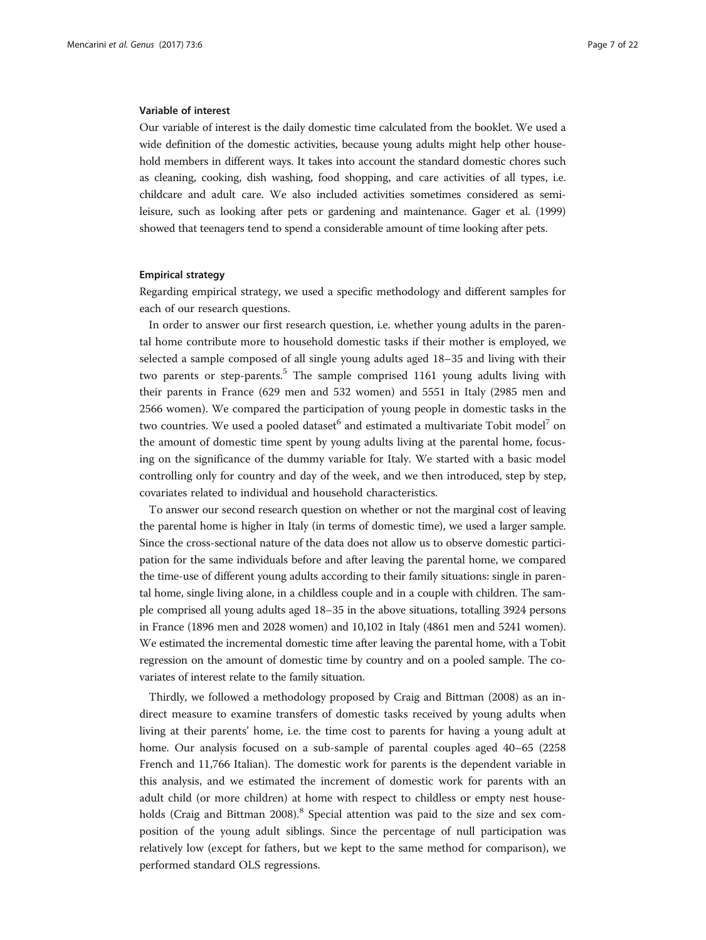### Variable of interest

Our variable of interest is the daily domestic time calculated from the booklet. We used a wide definition of the domestic activities, because young adults might help other household members in different ways. It takes into account the standard domestic chores such as cleaning, cooking, dish washing, food shopping, and care activities of all types, i.e. childcare and adult care. We also included activities sometimes considered as semileisure, such as looking after pets or gardening and maintenance. Gager et al. [\(1999](#page-20-0)) showed that teenagers tend to spend a considerable amount of time looking after pets.

### Empirical strategy

Regarding empirical strategy, we used a specific methodology and different samples for each of our research questions.

In order to answer our first research question, i.e. whether young adults in the parental home contribute more to household domestic tasks if their mother is employed, we selected a sample composed of all single young adults aged 18–35 and living with their two parents or step-parents.<sup>5</sup> The sample comprised 1161 young adults living with their parents in France (629 men and 532 women) and 5551 in Italy (2985 men and 2566 women). We compared the participation of young people in domestic tasks in the two countries. We used a pooled dataset  $6$  and estimated a multivariate Tobit model<sup>7</sup> on the amount of domestic time spent by young adults living at the parental home, focusing on the significance of the dummy variable for Italy. We started with a basic model controlling only for country and day of the week, and we then introduced, step by step, covariates related to individual and household characteristics.

To answer our second research question on whether or not the marginal cost of leaving the parental home is higher in Italy (in terms of domestic time), we used a larger sample. Since the cross-sectional nature of the data does not allow us to observe domestic participation for the same individuals before and after leaving the parental home, we compared the time-use of different young adults according to their family situations: single in parental home, single living alone, in a childless couple and in a couple with children. The sample comprised all young adults aged 18–35 in the above situations, totalling 3924 persons in France (1896 men and 2028 women) and 10,102 in Italy (4861 men and 5241 women). We estimated the incremental domestic time after leaving the parental home, with a Tobit regression on the amount of domestic time by country and on a pooled sample. The covariates of interest relate to the family situation.

Thirdly, we followed a methodology proposed by Craig and Bittman [\(2008\)](#page-20-0) as an indirect measure to examine transfers of domestic tasks received by young adults when living at their parents' home, i.e. the time cost to parents for having a young adult at home. Our analysis focused on a sub-sample of parental couples aged 40–65 (2258) French and 11,766 Italian). The domestic work for parents is the dependent variable in this analysis, and we estimated the increment of domestic work for parents with an adult child (or more children) at home with respect to childless or empty nest house-holds (Craig and Bittman [2008](#page-20-0)).<sup>8</sup> Special attention was paid to the size and sex composition of the young adult siblings. Since the percentage of null participation was relatively low (except for fathers, but we kept to the same method for comparison), we performed standard OLS regressions.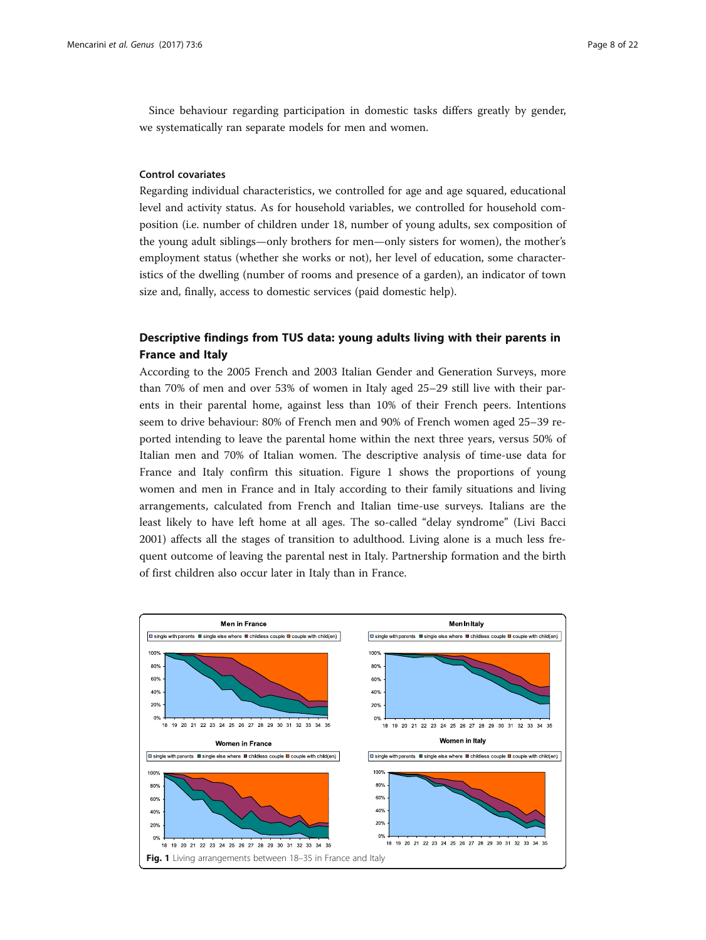Since behaviour regarding participation in domestic tasks differs greatly by gender, we systematically ran separate models for men and women.

# Control covariates

Regarding individual characteristics, we controlled for age and age squared, educational level and activity status. As for household variables, we controlled for household composition (i.e. number of children under 18, number of young adults, sex composition of the young adult siblings—only brothers for men—only sisters for women), the mother's employment status (whether she works or not), her level of education, some characteristics of the dwelling (number of rooms and presence of a garden), an indicator of town size and, finally, access to domestic services (paid domestic help).

# Descriptive findings from TUS data: young adults living with their parents in France and Italy

According to the 2005 French and 2003 Italian Gender and Generation Surveys, more than 70% of men and over 53% of women in Italy aged 25–29 still live with their parents in their parental home, against less than 10% of their French peers. Intentions seem to drive behaviour: 80% of French men and 90% of French women aged 25–39 reported intending to leave the parental home within the next three years, versus 50% of Italian men and 70% of Italian women. The descriptive analysis of time-use data for France and Italy confirm this situation. Figure 1 shows the proportions of young women and men in France and in Italy according to their family situations and living arrangements, calculated from French and Italian time-use surveys. Italians are the least likely to have left home at all ages. The so-called "delay syndrome" (Livi Bacci [2001](#page-21-0)) affects all the stages of transition to adulthood. Living alone is a much less frequent outcome of leaving the parental nest in Italy. Partnership formation and the birth of first children also occur later in Italy than in France.

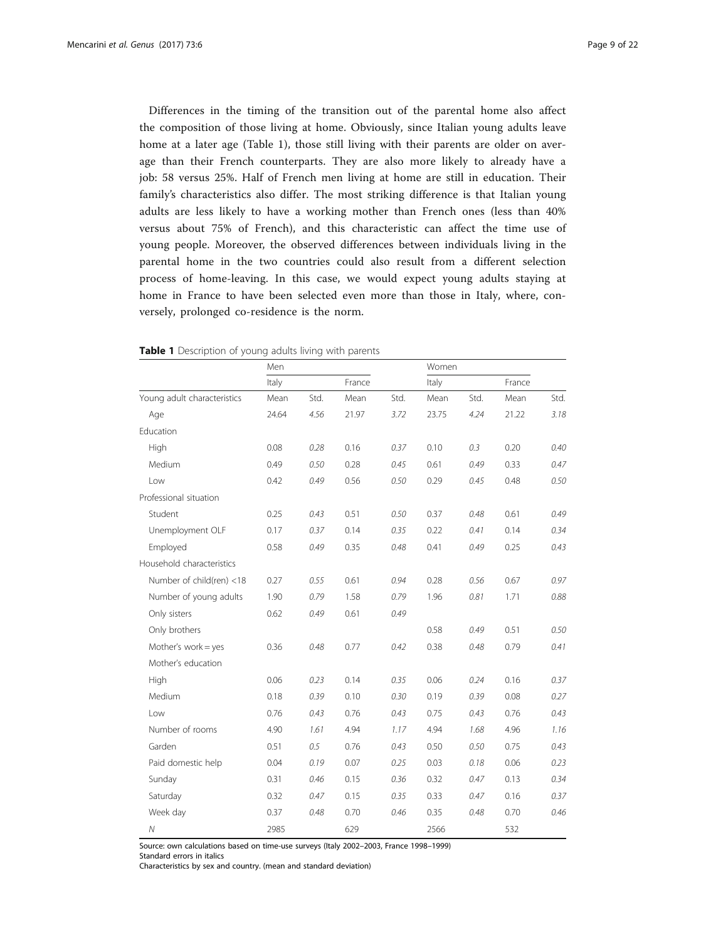Differences in the timing of the transition out of the parental home also affect the composition of those living at home. Obviously, since Italian young adults leave home at a later age (Table 1), those still living with their parents are older on average than their French counterparts. They are also more likely to already have a job: 58 versus 25%. Half of French men living at home are still in education. Their family's characteristics also differ. The most striking difference is that Italian young adults are less likely to have a working mother than French ones (less than 40% versus about 75% of French), and this characteristic can affect the time use of young people. Moreover, the observed differences between individuals living in the parental home in the two countries could also result from a different selection process of home-leaving. In this case, we would expect young adults staying at home in France to have been selected even more than those in Italy, where, conversely, prolonged co-residence is the norm.

|                             | Men   |      |        | Women |       |      |        |      |
|-----------------------------|-------|------|--------|-------|-------|------|--------|------|
|                             | Italy |      | France |       | Italy |      | France |      |
| Young adult characteristics | Mean  | Std. | Mean   | Std.  | Mean  | Std. | Mean   | Std. |
| Age                         | 24.64 | 4.56 | 21.97  | 3.72  | 23.75 | 4.24 | 21.22  | 3.18 |
| Education                   |       |      |        |       |       |      |        |      |
| High                        | 0.08  | 0.28 | 0.16   | 0.37  | 0.10  | 0.3  | 0.20   | 0.40 |
| Medium                      | 0.49  | 0.50 | 0.28   | 0.45  | 0.61  | 0.49 | 0.33   | 0.47 |
| Low                         | 0.42  | 0.49 | 0.56   | 0.50  | 0.29  | 0.45 | 0.48   | 0.50 |
| Professional situation      |       |      |        |       |       |      |        |      |
| Student                     | 0.25  | 0.43 | 0.51   | 0.50  | 0.37  | 0.48 | 0.61   | 0.49 |
| Unemployment OLF            | 0.17  | 0.37 | 0.14   | 0.35  | 0.22  | 0.41 | 0.14   | 0.34 |
| Employed                    | 0.58  | 0.49 | 0.35   | 0.48  | 0.41  | 0.49 | 0.25   | 0.43 |
| Household characteristics   |       |      |        |       |       |      |        |      |
| Number of child(ren) <18    | 0.27  | 0.55 | 0.61   | 0.94  | 0.28  | 0.56 | 0.67   | 0.97 |
| Number of young adults      | 1.90  | 0.79 | 1.58   | 0.79  | 1.96  | 0.81 | 1.71   | 0.88 |
| Only sisters                | 0.62  | 0.49 | 0.61   | 0.49  |       |      |        |      |
| Only brothers               |       |      |        |       | 0.58  | 0.49 | 0.51   | 0.50 |
| Mother's work = yes         | 0.36  | 0.48 | 0.77   | 0.42  | 0.38  | 0.48 | 0.79   | 0.41 |
| Mother's education          |       |      |        |       |       |      |        |      |
| High                        | 0.06  | 0.23 | 0.14   | 0.35  | 0.06  | 0.24 | 0.16   | 0.37 |
| Medium                      | 0.18  | 0.39 | 0.10   | 0.30  | 0.19  | 0.39 | 0.08   | 0.27 |
| Low                         | 0.76  | 0.43 | 0.76   | 0.43  | 0.75  | 0.43 | 0.76   | 0.43 |
| Number of rooms             | 4.90  | 1.61 | 4.94   | 1.17  | 4.94  | 1.68 | 4.96   | 1.16 |
| Garden                      | 0.51  | 0.5  | 0.76   | 0.43  | 0.50  | 0.50 | 0.75   | 0.43 |
| Paid domestic help          | 0.04  | 0.19 | 0.07   | 0.25  | 0.03  | 0.18 | 0.06   | 0.23 |
| Sunday                      | 0.31  | 0.46 | 0.15   | 0.36  | 0.32  | 0.47 | 0.13   | 0.34 |
| Saturday                    | 0.32  | 0.47 | 0.15   | 0.35  | 0.33  | 0.47 | 0.16   | 0.37 |
| Week day                    | 0.37  | 0.48 | 0.70   | 0.46  | 0.35  | 0.48 | 0.70   | 0.46 |
| N                           | 2985  |      | 629    |       | 2566  |      | 532    |      |

Table 1 Description of young adults living with parents

Source: own calculations based on time-use surveys (Italy 2002–2003, France 1998–1999)

Standard errors in italics

Characteristics by sex and country. (mean and standard deviation)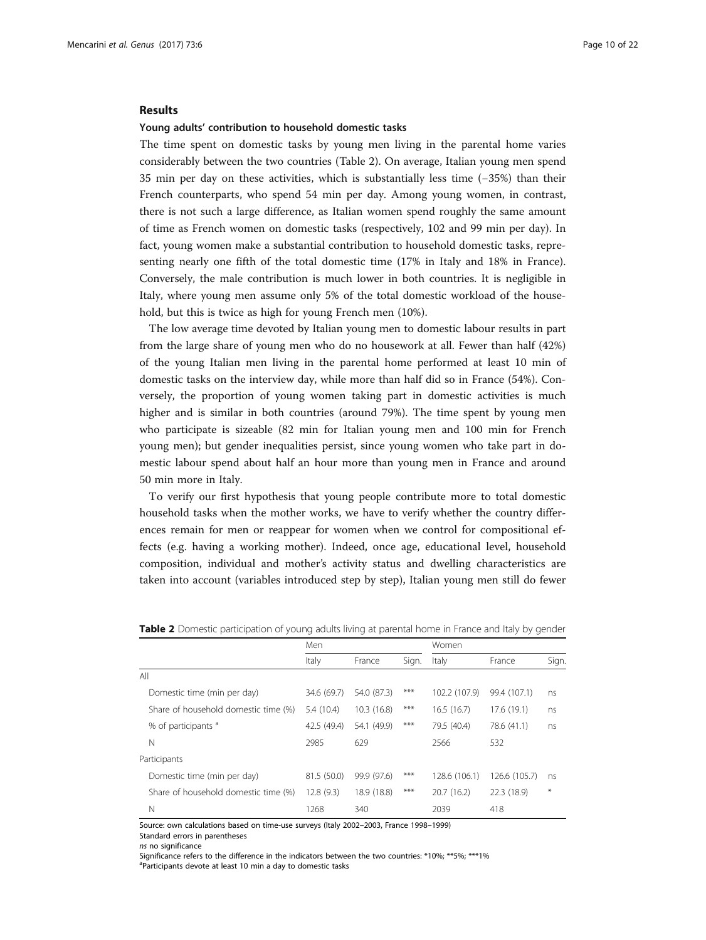#### Results

#### Young adults' contribution to household domestic tasks

The time spent on domestic tasks by young men living in the parental home varies considerably between the two countries (Table 2). On average, Italian young men spend 35 min per day on these activities, which is substantially less time (−35%) than their French counterparts, who spend 54 min per day. Among young women, in contrast, there is not such a large difference, as Italian women spend roughly the same amount of time as French women on domestic tasks (respectively, 102 and 99 min per day). In fact, young women make a substantial contribution to household domestic tasks, representing nearly one fifth of the total domestic time (17% in Italy and 18% in France). Conversely, the male contribution is much lower in both countries. It is negligible in Italy, where young men assume only 5% of the total domestic workload of the household, but this is twice as high for young French men (10%).

The low average time devoted by Italian young men to domestic labour results in part from the large share of young men who do no housework at all. Fewer than half (42%) of the young Italian men living in the parental home performed at least 10 min of domestic tasks on the interview day, while more than half did so in France (54%). Conversely, the proportion of young women taking part in domestic activities is much higher and is similar in both countries (around 79%). The time spent by young men who participate is sizeable (82 min for Italian young men and 100 min for French young men); but gender inequalities persist, since young women who take part in domestic labour spend about half an hour more than young men in France and around 50 min more in Italy.

To verify our first hypothesis that young people contribute more to total domestic household tasks when the mother works, we have to verify whether the country differences remain for men or reappear for women when we control for compositional effects (e.g. having a working mother). Indeed, once age, educational level, household composition, individual and mother's activity status and dwelling characteristics are taken into account (variables introduced step by step), Italian young men still do fewer

|                                      | Men         |             |       |               | Women         |        |  |  |
|--------------------------------------|-------------|-------------|-------|---------------|---------------|--------|--|--|
|                                      | Italy       | France      | Sign. | Italy         | France        | Sign.  |  |  |
| All                                  |             |             |       |               |               |        |  |  |
| Domestic time (min per day)          | 34.6 (69.7) | 54.0 (87.3) | ***   | 102.2 (107.9) | 99.4 (107.1)  | ns     |  |  |
| Share of household domestic time (%) | 5.4(10.4)   | 10.3 (16.8) | ***   | 16.5(16.7)    | 17.6(19.1)    | ns     |  |  |
| % of participants <sup>a</sup>       | 42.5 (49.4) | 54.1 (49.9) | ***   | 79.5 (40.4)   | 78.6 (41.1)   | ns     |  |  |
| N                                    | 2985        | 629         |       | 2566          | 532           |        |  |  |
| Participants                         |             |             |       |               |               |        |  |  |
| Domestic time (min per day)          | 81.5 (50.0) | 99.9 (97.6) | ***   | 128.6 (106.1) | 126.6 (105.7) | ns     |  |  |
| Share of household domestic time (%) | 12.8(9.3)   | 18.9 (18.8) | ***   | 20.7 (16.2)   | 22.3 (18.9)   | $\ast$ |  |  |
| N                                    | 1268        | 340         |       | 2039          | 418           |        |  |  |

**Table 2** Domestic participation of young adults living at parental home in France and Italy by gender

Source: own calculations based on time-use surveys (Italy 2002–2003, France 1998–1999)

Standard errors in parentheses

ns no significance

Significance refers to the difference in the indicators between the two countries: \*10%; \*\*5%; \*\*\*1% <sup>a</sup>Participants devote at least 10 min a day to domestic tasks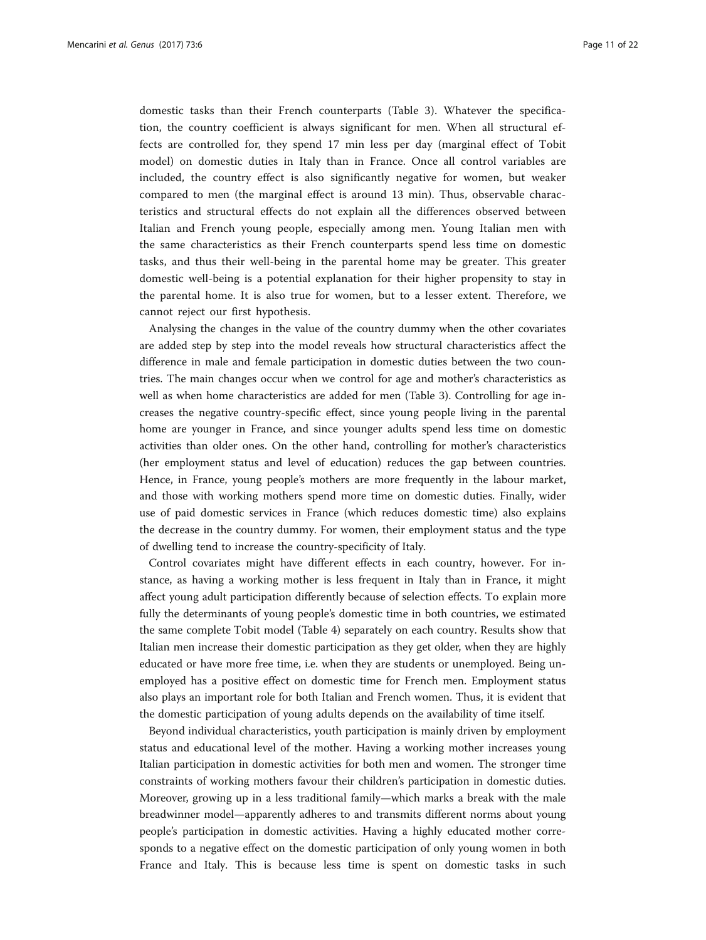domestic tasks than their French counterparts (Table [3\)](#page-11-0). Whatever the specification, the country coefficient is always significant for men. When all structural effects are controlled for, they spend 17 min less per day (marginal effect of Tobit model) on domestic duties in Italy than in France. Once all control variables are included, the country effect is also significantly negative for women, but weaker compared to men (the marginal effect is around 13 min). Thus, observable characteristics and structural effects do not explain all the differences observed between Italian and French young people, especially among men. Young Italian men with the same characteristics as their French counterparts spend less time on domestic tasks, and thus their well-being in the parental home may be greater. This greater domestic well-being is a potential explanation for their higher propensity to stay in the parental home. It is also true for women, but to a lesser extent. Therefore, we cannot reject our first hypothesis.

Analysing the changes in the value of the country dummy when the other covariates are added step by step into the model reveals how structural characteristics affect the difference in male and female participation in domestic duties between the two countries. The main changes occur when we control for age and mother's characteristics as well as when home characteristics are added for men (Table [3](#page-11-0)). Controlling for age increases the negative country-specific effect, since young people living in the parental home are younger in France, and since younger adults spend less time on domestic activities than older ones. On the other hand, controlling for mother's characteristics (her employment status and level of education) reduces the gap between countries. Hence, in France, young people's mothers are more frequently in the labour market, and those with working mothers spend more time on domestic duties. Finally, wider use of paid domestic services in France (which reduces domestic time) also explains the decrease in the country dummy. For women, their employment status and the type of dwelling tend to increase the country-specificity of Italy.

Control covariates might have different effects in each country, however. For instance, as having a working mother is less frequent in Italy than in France, it might affect young adult participation differently because of selection effects. To explain more fully the determinants of young people's domestic time in both countries, we estimated the same complete Tobit model (Table [4](#page-12-0)) separately on each country. Results show that Italian men increase their domestic participation as they get older, when they are highly educated or have more free time, i.e. when they are students or unemployed. Being unemployed has a positive effect on domestic time for French men. Employment status also plays an important role for both Italian and French women. Thus, it is evident that the domestic participation of young adults depends on the availability of time itself.

Beyond individual characteristics, youth participation is mainly driven by employment status and educational level of the mother. Having a working mother increases young Italian participation in domestic activities for both men and women. The stronger time constraints of working mothers favour their children's participation in domestic duties. Moreover, growing up in a less traditional family—which marks a break with the male breadwinner model—apparently adheres to and transmits different norms about young people's participation in domestic activities. Having a highly educated mother corresponds to a negative effect on the domestic participation of only young women in both France and Italy. This is because less time is spent on domestic tasks in such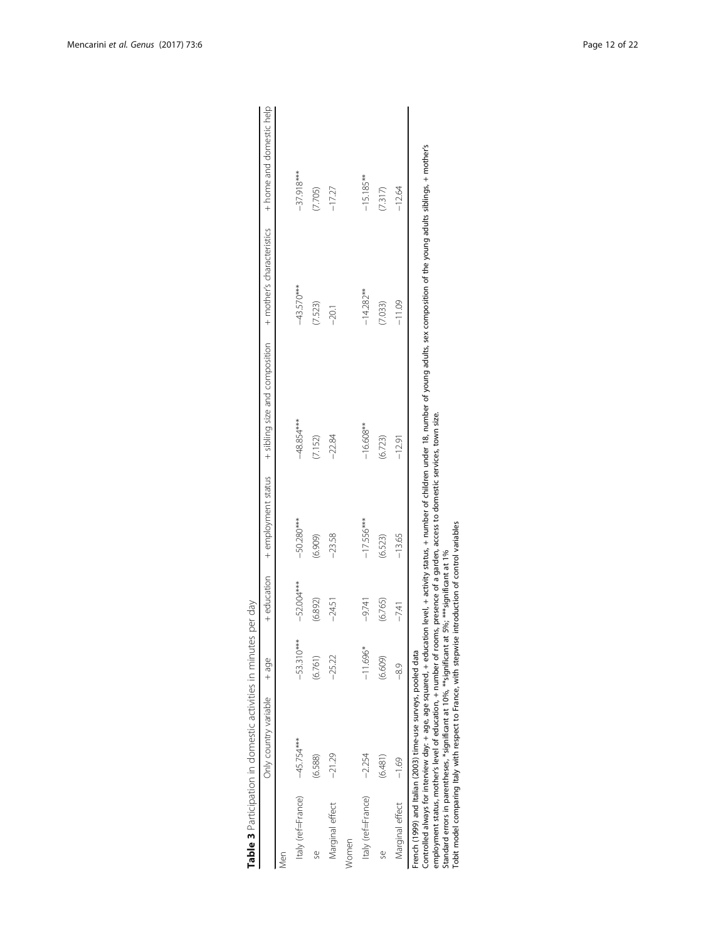<span id="page-11-0"></span>

|                    | Only country variable + age                                                                                                                                                                        |              |              |              | + education + employment status + sibling size and composition + mother's characteristics + + home and domestic help                                                                                          |              |              |
|--------------------|----------------------------------------------------------------------------------------------------------------------------------------------------------------------------------------------------|--------------|--------------|--------------|---------------------------------------------------------------------------------------------------------------------------------------------------------------------------------------------------------------|--------------|--------------|
| Men                |                                                                                                                                                                                                    |              |              |              |                                                                                                                                                                                                               |              |              |
| Italy (ref=France) | $-45.754***$                                                                                                                                                                                       | $-53.310***$ | $-52.004***$ | $-50.280***$ | $-48.854***$                                                                                                                                                                                                  | $-43.570***$ | $-37.918***$ |
| 9S                 | (6.588)                                                                                                                                                                                            | (6.761)      | (6.892)      | (6.909)      | (7.152)                                                                                                                                                                                                       | (7.523)      | (7.705)      |
| Marginal effect    | $-21.29$                                                                                                                                                                                           | $-25.22$     | $-24.51$     | $-23.58$     | $-22.84$                                                                                                                                                                                                      | $-20.1$      | $-17.27$     |
| Nomen              |                                                                                                                                                                                                    |              |              |              |                                                                                                                                                                                                               |              |              |
| Italy (ref=France) | $-2.254$                                                                                                                                                                                           | $-11.696*$   | $-9.741$     | $-17.556***$ | $-16,608**$                                                                                                                                                                                                   | $-14.282***$ | $-15.185**$  |
| š                  | (6.481)                                                                                                                                                                                            | (6.609)      | (6.765)      | (6.523)      | (6.723)                                                                                                                                                                                                       | (7.033)      | (7.317)      |
| Marginal effect    | $-1.69$                                                                                                                                                                                            | $-8.9$       | $-7.41$      | $-13,65$     | $-12.91$                                                                                                                                                                                                      | $-11.09$     | $-12.64$     |
|                    | employment status, mother's level of education, + number of rooms, presence of a garden, access to domestic services, town size.<br>French (1999) and Italian (2003) time-use surveys, pooled data |              |              |              | Controlled always for interview day: + age, age squared, + education level, + activity status, + number of hildren under 18, number of young adults, sex composition of the young adults siblings, + mother's |              |              |

| į<br>I<br>Ś<br>1 |
|------------------|
| j<br>i<br>l      |
| ł<br>١<br>l      |
| ļ<br>i           |
|                  |
| ł<br>i<br>I      |
| j<br>Ì           |
| l<br>١           |
| 1<br>Ì<br>١      |
| ţ                |
| ł<br>١<br>I      |
| ı<br>I           |
| ١                |
| i                |
|                  |

Controlled always for interview day: + age, age squared, + education level, + activity status, + number of children under 18, number of young adults, sex composition of the young adults siblings, + mother's employment status, mother's level of education, + number of rooms, presence of a garden, access to domestic services, town size. employment status, mother's level of education, + number of rooms, presence of a garden, access to<br>Standard errors in parentheses, \*significant at 10%, \*\*significant at 5%; \*\*\*significant at 1%<br>Tobit model comparing Italy

Standard errors in parentheses, \*significant at 10%, \*\*significant at 5%; \*\*\*significant at 1%

Tobit model comparing Italy with respect to France, with stepwise introduction of control variables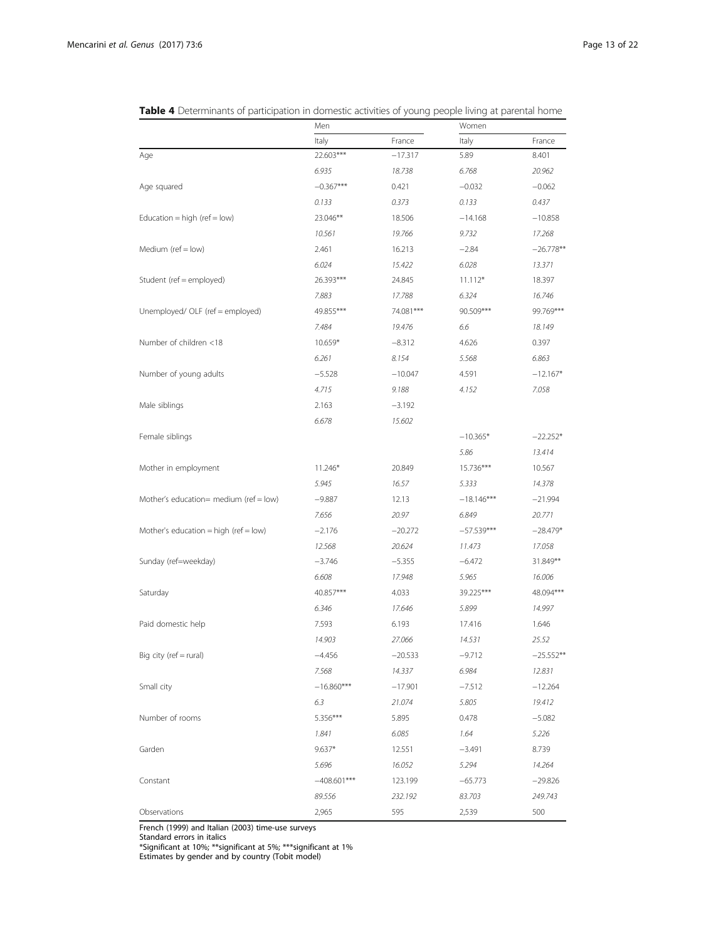<span id="page-12-0"></span>

|                                        | Men           |           | Women        |             |
|----------------------------------------|---------------|-----------|--------------|-------------|
|                                        | Italy         | France    | Italy        | France      |
| Age                                    | 22.603***     | $-17.317$ | 5.89         | 8.401       |
|                                        | 6.935         | 18.738    | 6.768        | 20.962      |
| Age squared                            | $-0.367***$   | 0.421     | $-0.032$     | $-0.062$    |
|                                        | 0.133         | 0.373     | 0.133        | 0.437       |
| Education = high (ref = low)           | 23.046**      | 18.506    | $-14.168$    | $-10.858$   |
|                                        | 10.561        | 19.766    | 9.732        | 17.268      |
| Medium (ref = low)                     | 2.461         | 16.213    | $-2.84$      | $-26.778**$ |
|                                        | 6.024         | 15.422    | 6.028        | 13.371      |
| Student (ref = employed)               | 26.393***     | 24.845    | 11.112*      | 18.397      |
|                                        | 7.883         | 17.788    | 6.324        | 16.746      |
| Unemployed/ OLF (ref = employed)       | 49.855***     | 74.081*** | 90.509***    | 99.769***   |
|                                        | 7.484         | 19.476    | 6.6          | 18.149      |
| Number of children <18                 | 10.659*       | $-8.312$  | 4.626        | 0.397       |
|                                        | 6.261         | 8.154     | 5.568        | 6.863       |
| Number of young adults                 | $-5.528$      | $-10.047$ | 4.591        | $-12.167*$  |
|                                        | 4.715         | 9.188     | 4.152        | 7.058       |
| Male siblings                          | 2.163         | $-3.192$  |              |             |
|                                        | 6.678         | 15.602    |              |             |
| Female siblings                        |               |           | $-10.365*$   | $-22.252*$  |
|                                        |               |           | 5.86         | 13.414      |
| Mother in employment                   | 11.246*       | 20.849    | 15.736***    | 10.567      |
|                                        | 5.945         | 16.57     | 5.333        | 14.378      |
| Mother's education= medium (ref = low) | $-9.887$      | 12.13     | $-18.146***$ | $-21.994$   |
|                                        | 7.656         | 20.97     | 6.849        | 20.771      |
| Mother's education = high (ref = low)  | $-2.176$      | $-20.272$ | $-57.539***$ | $-28.479*$  |
|                                        | 12.568        | 20.624    | 11.473       | 17.058      |
| Sunday (ref=weekday)                   | $-3.746$      | $-5.355$  | $-6.472$     | 31.849**    |
|                                        | 6.608         | 17.948    | 5.965        | 16.006      |
| Saturday                               | 40.857***     | 4.033     | 39.225***    | 48.094***   |
|                                        | 6.346         | 17.646    | 5.899        | 14.997      |
| Paid domestic help                     | 7.593         | 6.193     | 17.416       | 1.646       |
|                                        | 14.903        | 27.066    | 14.531       | 25.52       |
| Big city (ref = rural)                 | $-4.456$      | $-20.533$ | $-9.712$     | $-25.552**$ |
|                                        | 7.568         | 14.337    | 6.984        | 12.831      |
| Small city                             | $-16.860***$  | $-17.901$ | $-7.512$     | $-12.264$   |
|                                        | 6.3           | 21.074    | 5.805        | 19.412      |
| Number of rooms                        | 5.356***      | 5.895     | 0.478        | $-5.082$    |
|                                        | 1.841         | 6.085     | 1.64         | 5.226       |
| Garden                                 | $9.637*$      | 12.551    | $-3.491$     | 8.739       |
|                                        | 5.696         | 16.052    | 5.294        | 14.264      |
| Constant                               | $-408.601***$ | 123.199   | $-65.773$    | $-29.826$   |
|                                        | 89.556        | 232.192   | 83.703       | 249.743     |
| Observations                           | 2,965         | 595       | 2,539        | 500         |

French (1999) and Italian (2003) time-use surveys

Standard errors in italics

\*Significant at 10%; \*\*significant at 5%; \*\*\*significant at 1%

Estimates by gender and by country (Tobit model)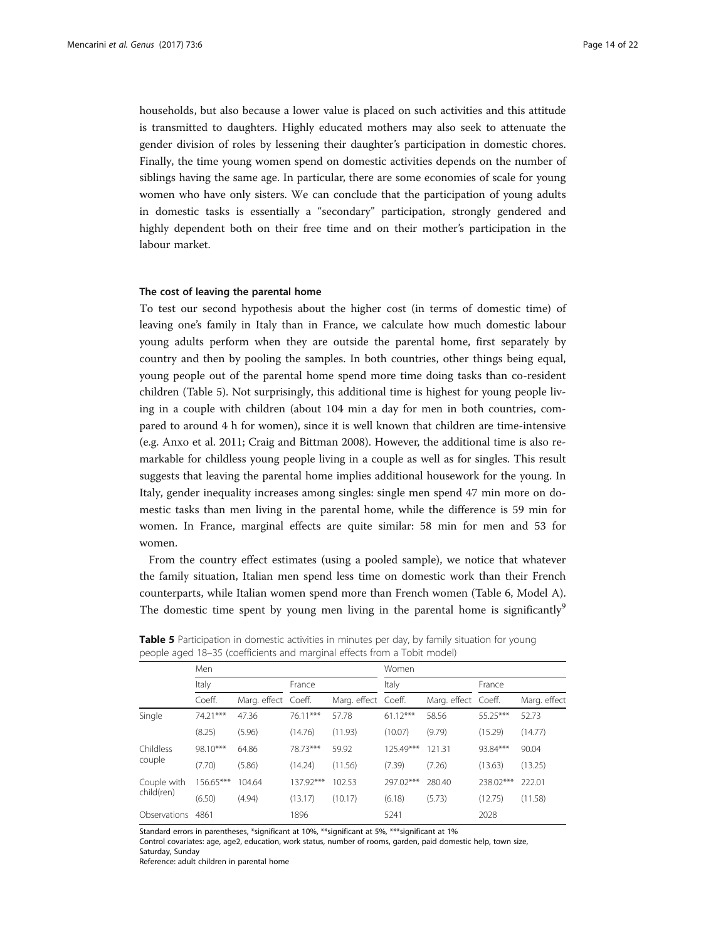households, but also because a lower value is placed on such activities and this attitude is transmitted to daughters. Highly educated mothers may also seek to attenuate the gender division of roles by lessening their daughter's participation in domestic chores. Finally, the time young women spend on domestic activities depends on the number of siblings having the same age. In particular, there are some economies of scale for young women who have only sisters. We can conclude that the participation of young adults in domestic tasks is essentially a "secondary" participation, strongly gendered and highly dependent both on their free time and on their mother's participation in the labour market.

### The cost of leaving the parental home

To test our second hypothesis about the higher cost (in terms of domestic time) of leaving one's family in Italy than in France, we calculate how much domestic labour young adults perform when they are outside the parental home, first separately by country and then by pooling the samples. In both countries, other things being equal, young people out of the parental home spend more time doing tasks than co-resident children (Table 5). Not surprisingly, this additional time is highest for young people living in a couple with children (about 104 min a day for men in both countries, compared to around 4 h for women), since it is well known that children are time-intensive (e.g. Anxo et al. [2011;](#page-20-0) Craig and Bittman [2008\)](#page-20-0). However, the additional time is also remarkable for childless young people living in a couple as well as for singles. This result suggests that leaving the parental home implies additional housework for the young. In Italy, gender inequality increases among singles: single men spend 47 min more on domestic tasks than men living in the parental home, while the difference is 59 min for women. In France, marginal effects are quite similar: 58 min for men and 53 for women.

From the country effect estimates (using a pooled sample), we notice that whatever the family situation, Italian men spend less time on domestic work than their French counterparts, while Italian women spend more than French women (Table [6,](#page-14-0) Model A). The domestic time spent by young men living in the parental home is significantly<sup>9</sup>

|              | <b>Men</b> |                     |           | Women               |            |                     |           |              |
|--------------|------------|---------------------|-----------|---------------------|------------|---------------------|-----------|--------------|
|              | Italy      |                     | France    |                     | Italy      |                     | France    |              |
|              | Coeff.     | Marg. effect Coeff. |           | Marg. effect Coeff. |            | Marg. effect Coeff. |           | Marg. effect |
| Single       | 74.21***   | 47.36               | 76.11***  | 57.78               | $61.12***$ | 58.56               | 55.25***  | 52.73        |
|              | (8.25)     | (5.96)              | (14.76)   | (11.93)             | (10.07)    | (9.79)              | (15.29)   | (14.77)      |
| Childless    | 98.10***   | 64.86               | 78.73***  | 59.92               | 125.49***  | 121.31              | 93.84***  | 90.04        |
| couple       | (7.70)     | (5.86)              | (14.24)   | (11.56)             | (7.39)     | (7.26)              | (13.63)   | (13.25)      |
| Couple with  | 156.65***  | 104.64              | 137.92*** | 102.53              | 297.02***  | 280.40              | 238.02*** | 222.01       |
| child(ren)   | (6.50)     | (4.94)              | (13.17)   | (10.17)             | (6.18)     | (5.73)              | (12.75)   | (11.58)      |
| Observations | 4861       |                     | 1896      |                     | 5241       |                     | 2028      |              |

Table 5 Participation in domestic activities in minutes per day, by family situation for young people aged 18–35 (coefficients and marginal effects from a Tobit model)

Standard errors in parentheses, \*significant at 10%, \*\*significant at 5%, \*\*\*significant at 1%

Control covariates: age, age2, education, work status, number of rooms, garden, paid domestic help, town size, Saturday, Sunday

Reference: adult children in parental home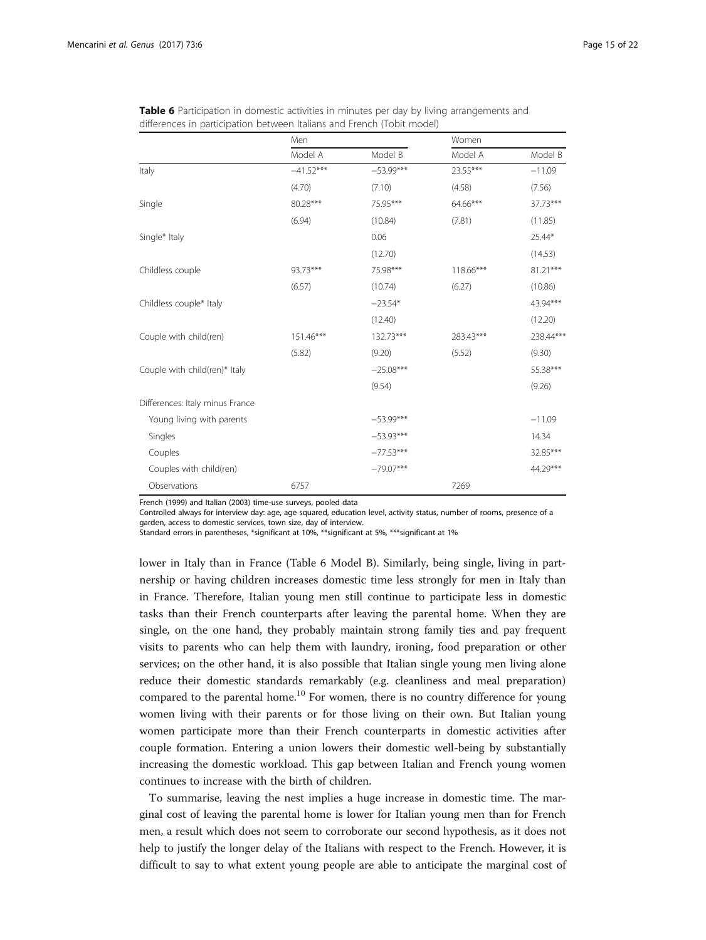|                                 | Men         |             |           |            |
|---------------------------------|-------------|-------------|-----------|------------|
|                                 | Model A     | Model B     | Model A   | Model B    |
| Italy                           | $-41.52***$ | $-53.99***$ | 23.55***  | $-11.09$   |
|                                 | (4.70)      | (7.10)      | (4.58)    | (7.56)     |
| Single                          | 80.28***    | 75.95***    | 64.66***  | 37.73***   |
|                                 | (6.94)      | (10.84)     | (7.81)    | (11.85)    |
| Single* Italy                   |             | 0.06        |           | 25.44*     |
|                                 |             | (12.70)     |           | (14.53)    |
| Childless couple                | 93.73***    | 75.98***    | 118.66*** | $81.21***$ |
|                                 | (6.57)      | (10.74)     | (6.27)    | (10.86)    |
| Childless couple* Italy         |             | $-23.54*$   |           | 43.94***   |
|                                 |             | (12.40)     |           | (12.20)    |
| Couple with child(ren)          | 151.46***   | 132.73***   | 283.43*** | 238.44***  |
|                                 | (5.82)      | (9.20)      | (5.52)    | (9.30)     |
| Couple with child(ren)* Italy   |             | $-25.08***$ |           | 55.38***   |
|                                 |             | (9.54)      |           | (9.26)     |
| Differences: Italy minus France |             |             |           |            |
| Young living with parents       |             | $-53.99***$ |           | $-11.09$   |
| Singles                         |             | $-53.93***$ |           | 14.34      |
| Couples                         |             | $-77.53***$ |           | 32.85***   |
| Couples with child(ren)         |             | $-79.07***$ |           | 44.29***   |
| Observations                    | 6757        |             | 7269      |            |

<span id="page-14-0"></span>

| Table 6 Participation in domestic activities in minutes per day by living arrangements and |  |  |  |
|--------------------------------------------------------------------------------------------|--|--|--|
| differences in participation between Italians and French (Tobit model)                     |  |  |  |

French (1999) and Italian (2003) time-use surveys, pooled data

Controlled always for interview day: age, age squared, education level, activity status, number of rooms, presence of a garden, access to domestic services, town size, day of interview.

Standard errors in parentheses, \*significant at 10%, \*\*significant at 5%, \*\*\*significant at 1%

lower in Italy than in France (Table 6 Model B). Similarly, being single, living in partnership or having children increases domestic time less strongly for men in Italy than in France. Therefore, Italian young men still continue to participate less in domestic tasks than their French counterparts after leaving the parental home. When they are single, on the one hand, they probably maintain strong family ties and pay frequent visits to parents who can help them with laundry, ironing, food preparation or other services; on the other hand, it is also possible that Italian single young men living alone reduce their domestic standards remarkably (e.g. cleanliness and meal preparation) compared to the parental home.<sup>10</sup> For women, there is no country difference for young women living with their parents or for those living on their own. But Italian young women participate more than their French counterparts in domestic activities after couple formation. Entering a union lowers their domestic well-being by substantially increasing the domestic workload. This gap between Italian and French young women continues to increase with the birth of children.

To summarise, leaving the nest implies a huge increase in domestic time. The marginal cost of leaving the parental home is lower for Italian young men than for French men, a result which does not seem to corroborate our second hypothesis, as it does not help to justify the longer delay of the Italians with respect to the French. However, it is difficult to say to what extent young people are able to anticipate the marginal cost of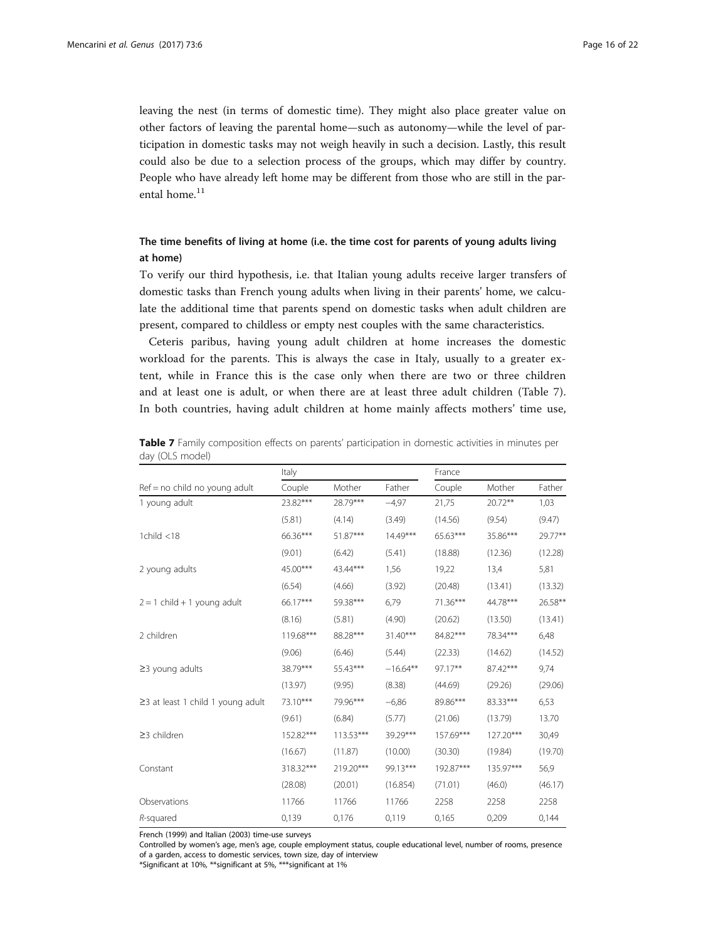leaving the nest (in terms of domestic time). They might also place greater value on other factors of leaving the parental home—such as autonomy—while the level of participation in domestic tasks may not weigh heavily in such a decision. Lastly, this result could also be due to a selection process of the groups, which may differ by country. People who have already left home may be different from those who are still in the parental home.<sup>11</sup>

# The time benefits of living at home (i.e. the time cost for parents of young adults living at home)

To verify our third hypothesis, i.e. that Italian young adults receive larger transfers of domestic tasks than French young adults when living in their parents' home, we calculate the additional time that parents spend on domestic tasks when adult children are present, compared to childless or empty nest couples with the same characteristics.

Ceteris paribus, having young adult children at home increases the domestic workload for the parents. This is always the case in Italy, usually to a greater extent, while in France this is the case only when there are two or three children and at least one is adult, or when there are at least three adult children (Table 7). In both countries, having adult children at home mainly affects mothers' time use,

|                                   | Italy     |           |            | France    |           |         |  |
|-----------------------------------|-----------|-----------|------------|-----------|-----------|---------|--|
| $Ref = no child no young adult$   | Couple    | Mother    | Father     | Couple    | Mother    | Father  |  |
| 1 young adult                     | 23.82***  | 28.79***  | $-4,97$    | 21,75     | $20.72**$ | 1,03    |  |
|                                   | (5.81)    | (4.14)    | (3.49)     | (14.56)   | (9.54)    | (9.47)  |  |
| 1 $child < 18$                    | 66.36***  | 51.87***  | 14.49***   | 65.63***  | 35.86***  | 29.77** |  |
|                                   | (9.01)    | (6.42)    | (5.41)     | (18.88)   | (12.36)   | (12.28) |  |
| 2 young adults                    | 45.00***  | 43.44***  | 1,56       | 19,22     | 13,4      | 5,81    |  |
|                                   | (6.54)    | (4.66)    | (3.92)     | (20.48)   | (13.41)   | (13.32) |  |
| $2 = 1$ child + 1 young adult     | 66.17***  | 59.38***  | 6,79       | 71.36***  | 44.78***  | 26.58** |  |
|                                   | (8.16)    | (5.81)    | (4.90)     | (20.62)   | (13.50)   | (13.41) |  |
| 2 children                        | 119.68*** | 88.28***  | $31.40***$ | 84.82***  | 78.34***  | 6,48    |  |
|                                   | (9.06)    | (6.46)    | (5.44)     | (22.33)   | (14.62)   | (14.52) |  |
| $\geq$ 3 young adults             | 38.79***  | 55.43***  | $-16.64**$ | 97.17**   | 87.42***  | 9,74    |  |
|                                   | (13.97)   | (9.95)    | (8.38)     | (44.69)   | (29.26)   | (29.06) |  |
| ≥3 at least 1 child 1 young adult | 73.10***  | 79.96***  | $-6,86$    | 89.86***  | 83.33***  | 6,53    |  |
|                                   | (9.61)    | (6.84)    | (5.77)     | (21.06)   | (13.79)   | 13.70   |  |
| $\geq$ 3 children                 | 152.82*** | 113.53*** | 39.29***   | 157.69*** | 127.20*** | 30,49   |  |
|                                   | (16.67)   | (11.87)   | (10.00)    | (30.30)   | (19.84)   | (19.70) |  |
| Constant                          | 318.32*** | 219.20*** | 99.13***   | 192.87*** | 135.97*** | 56,9    |  |
|                                   | (28.08)   | (20.01)   | (16.854)   | (71.01)   | (46.0)    | (46.17) |  |
| Observations                      | 11766     | 11766     | 11766      | 2258      | 2258      | 2258    |  |
| R-squared                         | 0,139     | 0,176     | 0,119      | 0,165     | 0,209     | 0,144   |  |

Table 7 Family composition effects on parents' participation in domestic activities in minutes per day (OLS model)

French (1999) and Italian (2003) time-use surveys

Controlled by women's age, men's age, couple employment status, couple educational level, number of rooms, presence of a garden, access to domestic services, town size, day of interview

\*Significant at 10%, \*\*significant at 5%, \*\*\*significant at 1%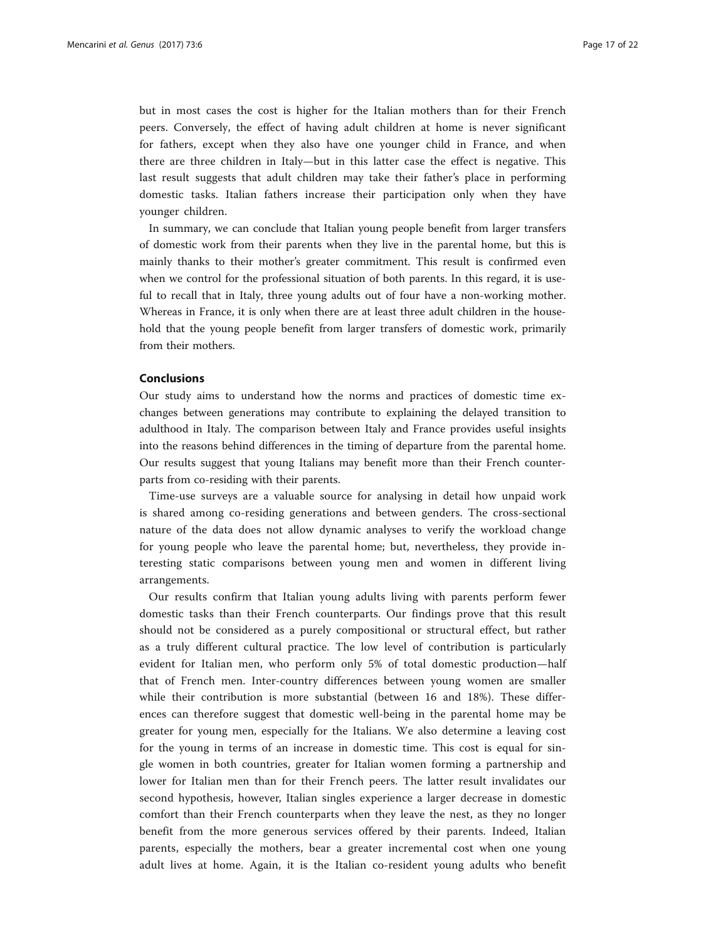but in most cases the cost is higher for the Italian mothers than for their French peers. Conversely, the effect of having adult children at home is never significant for fathers, except when they also have one younger child in France, and when there are three children in Italy—but in this latter case the effect is negative. This last result suggests that adult children may take their father's place in performing domestic tasks. Italian fathers increase their participation only when they have younger children.

In summary, we can conclude that Italian young people benefit from larger transfers of domestic work from their parents when they live in the parental home, but this is mainly thanks to their mother's greater commitment. This result is confirmed even when we control for the professional situation of both parents. In this regard, it is useful to recall that in Italy, three young adults out of four have a non-working mother. Whereas in France, it is only when there are at least three adult children in the household that the young people benefit from larger transfers of domestic work, primarily from their mothers.

# Conclusions

Our study aims to understand how the norms and practices of domestic time exchanges between generations may contribute to explaining the delayed transition to adulthood in Italy. The comparison between Italy and France provides useful insights into the reasons behind differences in the timing of departure from the parental home. Our results suggest that young Italians may benefit more than their French counterparts from co-residing with their parents.

Time-use surveys are a valuable source for analysing in detail how unpaid work is shared among co-residing generations and between genders. The cross-sectional nature of the data does not allow dynamic analyses to verify the workload change for young people who leave the parental home; but, nevertheless, they provide interesting static comparisons between young men and women in different living arrangements.

Our results confirm that Italian young adults living with parents perform fewer domestic tasks than their French counterparts. Our findings prove that this result should not be considered as a purely compositional or structural effect, but rather as a truly different cultural practice. The low level of contribution is particularly evident for Italian men, who perform only 5% of total domestic production—half that of French men. Inter-country differences between young women are smaller while their contribution is more substantial (between 16 and 18%). These differences can therefore suggest that domestic well-being in the parental home may be greater for young men, especially for the Italians. We also determine a leaving cost for the young in terms of an increase in domestic time. This cost is equal for single women in both countries, greater for Italian women forming a partnership and lower for Italian men than for their French peers. The latter result invalidates our second hypothesis, however, Italian singles experience a larger decrease in domestic comfort than their French counterparts when they leave the nest, as they no longer benefit from the more generous services offered by their parents. Indeed, Italian parents, especially the mothers, bear a greater incremental cost when one young adult lives at home. Again, it is the Italian co-resident young adults who benefit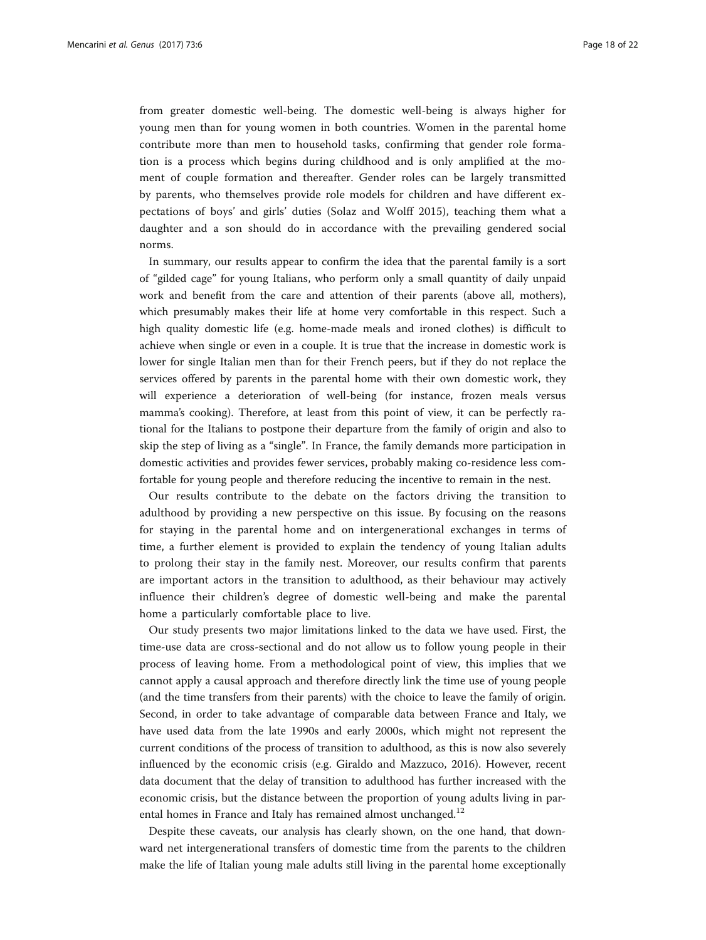from greater domestic well-being. The domestic well-being is always higher for young men than for young women in both countries. Women in the parental home contribute more than men to household tasks, confirming that gender role formation is a process which begins during childhood and is only amplified at the moment of couple formation and thereafter. Gender roles can be largely transmitted by parents, who themselves provide role models for children and have different expectations of boys' and girls' duties (Solaz and Wolff [2015](#page-21-0)), teaching them what a daughter and a son should do in accordance with the prevailing gendered social norms.

In summary, our results appear to confirm the idea that the parental family is a sort of "gilded cage" for young Italians, who perform only a small quantity of daily unpaid work and benefit from the care and attention of their parents (above all, mothers), which presumably makes their life at home very comfortable in this respect. Such a high quality domestic life (e.g. home-made meals and ironed clothes) is difficult to achieve when single or even in a couple. It is true that the increase in domestic work is lower for single Italian men than for their French peers, but if they do not replace the services offered by parents in the parental home with their own domestic work, they will experience a deterioration of well-being (for instance, frozen meals versus mamma's cooking). Therefore, at least from this point of view, it can be perfectly rational for the Italians to postpone their departure from the family of origin and also to skip the step of living as a "single". In France, the family demands more participation in domestic activities and provides fewer services, probably making co-residence less comfortable for young people and therefore reducing the incentive to remain in the nest.

Our results contribute to the debate on the factors driving the transition to adulthood by providing a new perspective on this issue. By focusing on the reasons for staying in the parental home and on intergenerational exchanges in terms of time, a further element is provided to explain the tendency of young Italian adults to prolong their stay in the family nest. Moreover, our results confirm that parents are important actors in the transition to adulthood, as their behaviour may actively influence their children's degree of domestic well-being and make the parental home a particularly comfortable place to live.

Our study presents two major limitations linked to the data we have used. First, the time-use data are cross-sectional and do not allow us to follow young people in their process of leaving home. From a methodological point of view, this implies that we cannot apply a causal approach and therefore directly link the time use of young people (and the time transfers from their parents) with the choice to leave the family of origin. Second, in order to take advantage of comparable data between France and Italy, we have used data from the late 1990s and early 2000s, which might not represent the current conditions of the process of transition to adulthood, as this is now also severely influenced by the economic crisis (e.g. Giraldo and Mazzuco, [2016\)](#page-20-0). However, recent data document that the delay of transition to adulthood has further increased with the economic crisis, but the distance between the proportion of young adults living in parental homes in France and Italy has remained almost unchanged.<sup>12</sup>

Despite these caveats, our analysis has clearly shown, on the one hand, that downward net intergenerational transfers of domestic time from the parents to the children make the life of Italian young male adults still living in the parental home exceptionally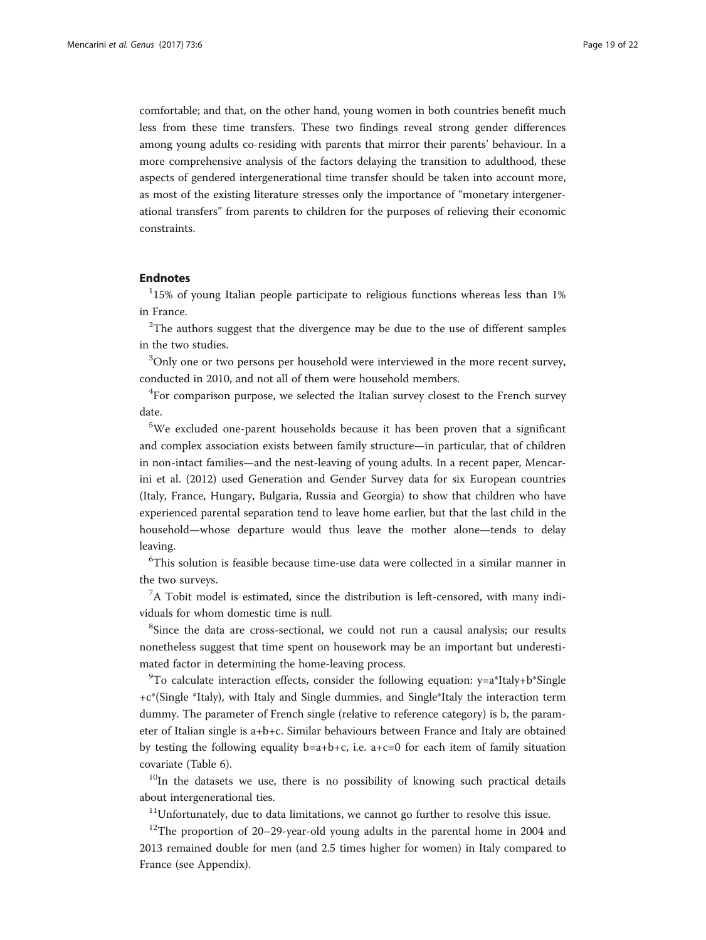comfortable; and that, on the other hand, young women in both countries benefit much less from these time transfers. These two findings reveal strong gender differences among young adults co-residing with parents that mirror their parents' behaviour. In a more comprehensive analysis of the factors delaying the transition to adulthood, these aspects of gendered intergenerational time transfer should be taken into account more, as most of the existing literature stresses only the importance of "monetary intergenerational transfers" from parents to children for the purposes of relieving their economic constraints.

# Endnotes

 $115\%$  of young Italian people participate to religious functions whereas less than  $1\%$ in France.

 $2$ The authors suggest that the divergence may be due to the use of different samples in the two studies.

<sup>3</sup>Only one or two persons per household were interviewed in the more recent survey, conducted in 2010, and not all of them were household members.

<sup>4</sup>For comparison purpose, we selected the Italian survey closest to the French survey date.

<sup>5</sup>We excluded one-parent households because it has been proven that a significant and complex association exists between family structure—in particular, that of children in non-intact families—and the nest-leaving of young adults. In a recent paper, Mencarini et al. [\(2012\)](#page-21-0) used Generation and Gender Survey data for six European countries (Italy, France, Hungary, Bulgaria, Russia and Georgia) to show that children who have experienced parental separation tend to leave home earlier, but that the last child in the household—whose departure would thus leave the mother alone—tends to delay leaving.

6 This solution is feasible because time-use data were collected in a similar manner in the two surveys.

<sup>7</sup>A Tobit model is estimated, since the distribution is left-censored, with many individuals for whom domestic time is null.

<sup>8</sup>Since the data are cross-sectional, we could not run a causal analysis; our results nonetheless suggest that time spent on housework may be an important but underestimated factor in determining the home-leaving process.

 $^{9}$ To calculate interaction effects, consider the following equation: y=a\*Italy+b\*Single  $+c$ <sup>\*</sup>(Single \*Italy), with Italy and Single dummies, and Single\*Italy the interaction term dummy. The parameter of French single (relative to reference category) is b, the parameter of Italian single is a+b+c. Similar behaviours between France and Italy are obtained by testing the following equality  $b=a+b+c$ , i.e.  $a+c=0$  for each item of family situation covariate (Table [6](#page-14-0)).

<sup>10</sup>In the datasets we use, there is no possibility of knowing such practical details about intergenerational ties.

 $11$ Unfortunately, due to data limitations, we cannot go further to resolve this issue.

 $12$ The proportion of 20–29-year-old young adults in the parental home in 2004 and 2013 remained double for men (and 2.5 times higher for women) in Italy compared to France (see [Appendix](#page-19-0)).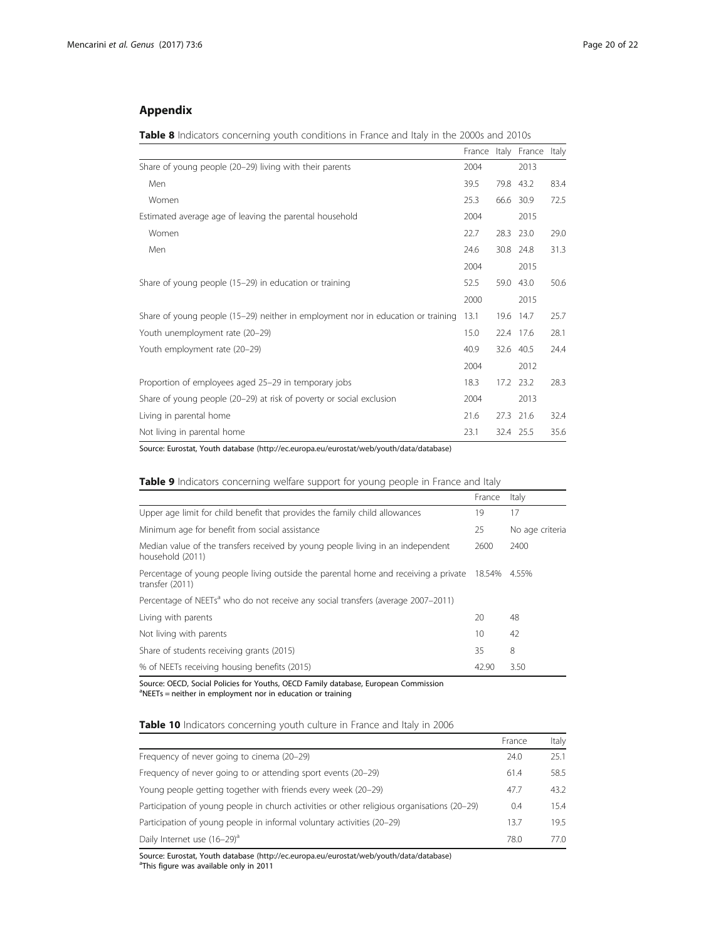# <span id="page-19-0"></span>Appendix

# Table 8 Indicators concerning youth conditions in France and Italy in the 2000s and 2010s

|                                                                                  |      |      | France Italy France | Italy |
|----------------------------------------------------------------------------------|------|------|---------------------|-------|
| Share of young people (20-29) living with their parents                          | 2004 |      | 2013                |       |
| Men                                                                              | 39.5 |      | 79.8 43.2           | 83.4  |
| Women                                                                            | 25.3 |      | 66.6 30.9           | 72.5  |
| Estimated average age of leaving the parental household                          | 2004 |      | 2015                |       |
| Women                                                                            | 22.7 |      | 28.3 23.0           | 29.0  |
| Men                                                                              | 24.6 |      | 30.8 24.8           | 31.3  |
|                                                                                  | 2004 |      | 2015                |       |
| Share of young people (15-29) in education or training                           | 52.5 | 59.0 | 43.0                | 50.6  |
|                                                                                  | 2000 |      | 2015                |       |
| Share of young people (15–29) neither in employment nor in education or training | 13.1 | 19.6 | 14.7                | 25.7  |
| Youth unemployment rate (20-29)                                                  | 15.0 |      | 22.4 17.6           | 28.1  |
| Youth employment rate (20-29)                                                    | 40.9 |      | 32.6 40.5           | 24.4  |
|                                                                                  | 2004 |      | 2012                |       |
| Proportion of employees aged 25-29 in temporary jobs                             | 18.3 |      | 17.2 23.2           | 28.3  |
| Share of young people (20–29) at risk of poverty or social exclusion             | 2004 |      | 2013                |       |
| Living in parental home                                                          | 21.6 | 27.3 | -21.6               | 32.4  |
| Not living in parental home                                                      | 23.1 |      | 32.4 25.5           | 35.6  |

Source: Eurostat, Youth database (<http://ec.europa.eu/eurostat/web/youth/data/database>)

#### Table 9 Indicators concerning welfare support for young people in France and Italy

|                                                                                                               | France          | Italy           |
|---------------------------------------------------------------------------------------------------------------|-----------------|-----------------|
| Upper age limit for child benefit that provides the family child allowances                                   | 19              | 17              |
| Minimum age for benefit from social assistance                                                                | 25              | No age criteria |
| Median value of the transfers received by young people living in an independent<br>household (2011)           | 2600            | 2400            |
| Percentage of young people living outside the parental home and receiving a private 18.54%<br>transfer (2011) |                 | 4.55%           |
| Percentage of NEETs <sup>a</sup> who do not receive any social transfers (average 2007–2011)                  |                 |                 |
| Living with parents                                                                                           | 20              | 48              |
| Not living with parents                                                                                       | 10 <sup>2</sup> | 42              |
| Share of students receiving grants (2015)                                                                     | 35              | 8               |
| % of NEETs receiving housing benefits (2015)                                                                  | 42.90           | 3.50            |

Source: OECD, Social Policies for Youths, OECD Family database, European Commission <sup>a</sup>NEETs = neither in employment nor in education or training

# Table 10 Indicators concerning youth culture in France and Italy in 2006

|                                                                                             | France | Italy |
|---------------------------------------------------------------------------------------------|--------|-------|
| Frequency of never going to cinema (20–29)                                                  | 74.0   | 25.1  |
| Frequency of never going to or attending sport events (20-29)                               | 61.4   | 58.5  |
| Young people getting together with friends every week (20-29)                               | 47.7   | 43.2  |
| Participation of young people in church activities or other religious organisations (20–29) | 0.4    | 15.4  |
| Participation of young people in informal voluntary activities (20–29)                      | 13.7   | 19.5  |
| Daily Internet use (16-29) <sup>a</sup>                                                     | 78.0   | 77 O  |

Source: Eurostat, Youth database (<http://ec.europa.eu/eurostat/web/youth/data/database>) <sup>a</sup>

<sup>a</sup>This figure was available only in 2011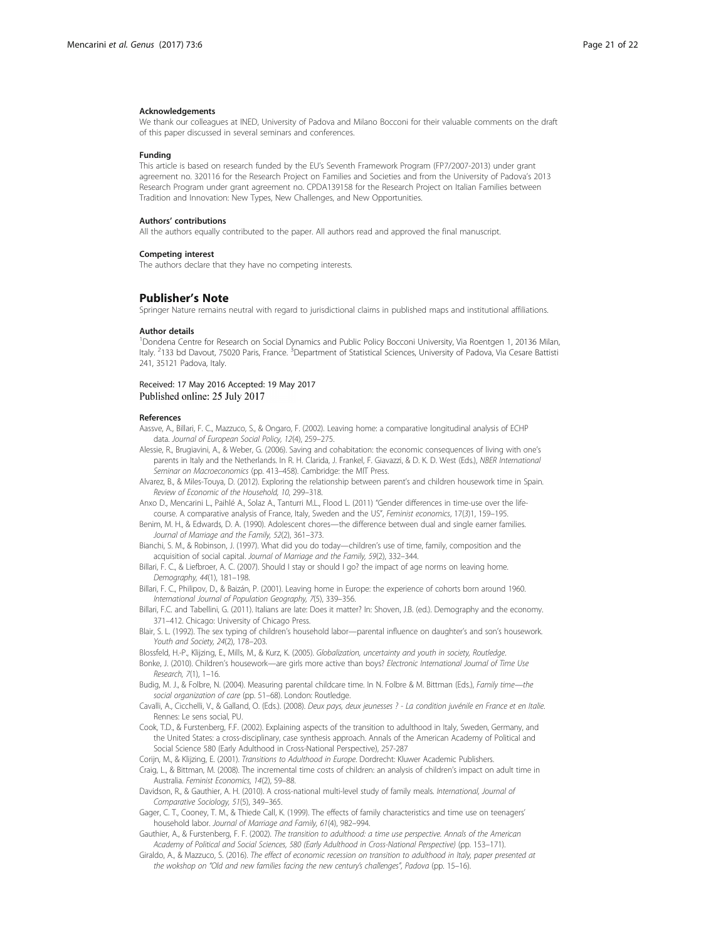#### <span id="page-20-0"></span>Acknowledgements

We thank our colleagues at INED, University of Padova and Milano Bocconi for their valuable comments on the draft of this paper discussed in several seminars and conferences.

#### Funding

This article is based on research funded by the EU's Seventh Framework Program (FP7/2007-2013) under grant agreement no. 320116 for the Research Project on Families and Societies and from the University of Padova's 2013 Research Program under grant agreement no. CPDA139158 for the Research Project on Italian Families between Tradition and Innovation: New Types, New Challenges, and New Opportunities.

#### Authors' contributions

All the authors equally contributed to the paper. All authors read and approved the final manuscript.

#### Competing interest

The authors declare that they have no competing interests.

#### Publisher's Note

Springer Nature remains neutral with regard to jurisdictional claims in published maps and institutional affiliations.

#### Author details

1 Dondena Centre for Research on Social Dynamics and Public Policy Bocconi University, Via Roentgen 1, 20136 Milan, Italy. <sup>2</sup>133 bd Davout, 75020 Paris, France. <sup>3</sup>Department of Statistical Sciences, University of Padova, Via Cesare Battisti 241, 35121 Padova, Italy.

#### Received: 17 May 2016 Accepted: 19 May 2017 Published online: 25 July 2017

#### References

- Aassve, A., Billari, F. C., Mazzuco, S., & Ongaro, F. (2002). Leaving home: a comparative longitudinal analysis of ECHP data. Journal of European Social Policy, 12(4), 259–275.
- Alessie, R., Brugiavini, A., & Weber, G. (2006). Saving and cohabitation: the economic consequences of living with one's parents in Italy and the Netherlands. In R. H. Clarida, J. Frankel, F. Giavazzi, & D. K. D. West (Eds.), NBER International Seminar on Macroeconomics (pp. 413–458). Cambridge: the MIT Press.
- Alvarez, B., & Miles-Touya, D. (2012). Exploring the relationship between parent's and children housework time in Spain. Review of Economic of the Household, 10, 299–318.
- Anxo D., Mencarini L., Paihlé A., Solaz A., Tanturri M.L., Flood L. (2011) "Gender differences in time-use over the lifecourse. A comparative analysis of France, Italy, Sweden and the US", Feminist economics, 17(3)1, 159-195.
- Benim, M. H., & Edwards, D. A. (1990). Adolescent chores—the difference between dual and single earner families. Journal of Marriage and the Family, 52(2), 361–373.
- Bianchi, S. M., & Robinson, J. (1997). What did you do today—children's use of time, family, composition and the acquisition of social capital. Journal of Marriage and the Family, 59(2), 332–344.
- Billari, F. C., & Liefbroer, A. C. (2007). Should I stay or should I go? the impact of age norms on leaving home. Demography, 44(1), 181–198.
- Billari, F. C., Philipov, D., & Baizán, P. (2001). Leaving home in Europe: the experience of cohorts born around 1960. International Journal of Population Geography, 7(5), 339–356.
- Billari, F.C. and Tabellini, G. (2011). Italians are late: Does it matter? In: Shoven, J.B. (ed.). Demography and the economy. 371–412. Chicago: University of Chicago Press.
- Blair, S. L. (1992). The sex typing of children's household labor—parental influence on daughter's and son's housework. Youth and Society, 24(2), 178–203.
- Blossfeld, H.-P., Klijzing, E., Mills, M., & Kurz, K. (2005). Globalization, uncertainty and youth in society, Routledge.
- Bonke, J. (2010). Children's housework—are girls more active than boys? Electronic International Journal of Time Use Research, 7(1), 1–16.
- Budig, M. J., & Folbre, N. (2004). Measuring parental childcare time. In N. Folbre & M. Bittman (Eds.), Family time—the social organization of care (pp. 51–68). London: Routledge.
- Cavalli, A., Cicchelli, V., & Galland, O. (Eds.). (2008). Deux pays, deux jeunesses ? La condition juvénile en France et en Italie. Rennes: Le sens social, PU.
- Cook, T.D., & Furstenberg, F.F. (2002). Explaining aspects of the transition to adulthood in Italy, Sweden, Germany, and the United States: a cross-disciplinary, case synthesis approach. Annals of the American Academy of Political and Social Science 580 (Early Adulthood in Cross-National Perspective), 257-287

Corijn, M., & Klijzing, E. (2001). Transitions to Adulthood in Europe. Dordrecht: Kluwer Academic Publishers.

- Craig, L., & Bittman, M. (2008). The incremental time costs of children: an analysis of children's impact on adult time in Australia. Feminist Economics, 14(2), 59–88.
- Davidson, R., & Gauthier, A. H. (2010). A cross-national multi-level study of family meals. International, Journal of Comparative Sociology, 51(5), 349–365.
- Gager, C. T., Cooney, T. M., & Thiede Call, K. (1999). The effects of family characteristics and time use on teenagers' household labor. Journal of Marriage and Family, 61(4), 982–994.
- Gauthier, A., & Furstenberg, F. F. (2002). The transition to adulthood: a time use perspective. Annals of the American Academy of Political and Social Sciences, 580 (Early Adulthood in Cross-National Perspective) (pp. 153–171).
- Giraldo, A., & Mazzuco, S. (2016). The effect of economic recession on transition to adulthood in Italy, paper presented at the wokshop on "Old and new families facing the new century's challenges", Padova (pp. 15–16).